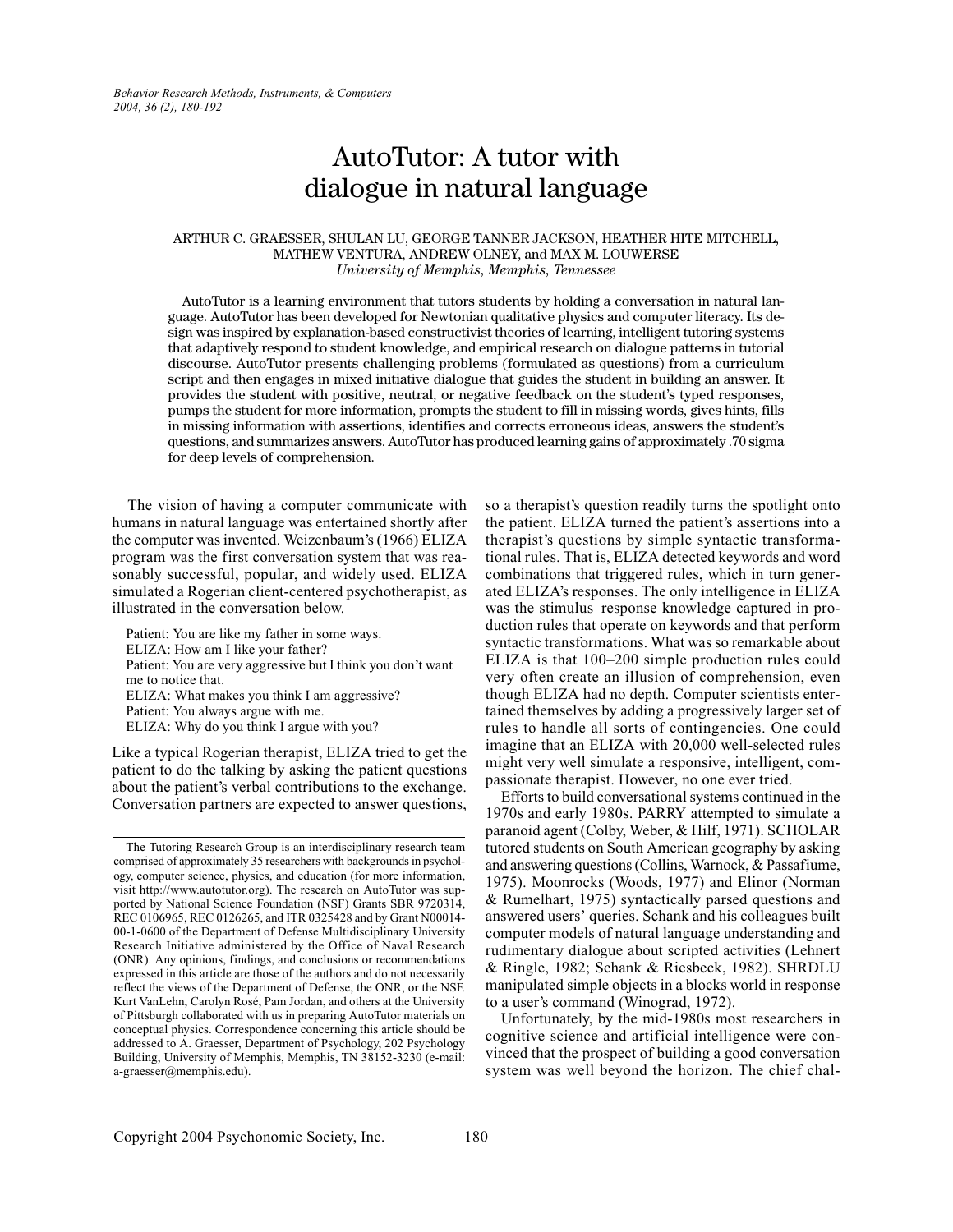# AutoTutor: A tutor with dialogue in natural language

#### ARTHUR C. GRAESSER, SHULAN LU, GEORGE TANNER JACKSON, HEATHER HITE MITCHELL, MATHEW VENTURA, ANDREW OLNEY, and MAX M. LOUWERSE *University of Memphis, Memphis, Tennessee*

AutoTutor is a learning environment that tutors students by holding a conversation in natural language. AutoTutor has been developed for Newtonian qualitative physics and computer literacy. Its design was inspired by explanation-based constructivist theories of learning, intelligent tutoring systems that adaptively respond to student knowledge, and empirical research on dialogue patterns in tutorial discourse. AutoTutor presents challenging problems (formulated as questions) from a curriculum script and then engages in mixed initiative dialogue that guides the student in building an answer. It provides the student with positive, neutral, or negative feedback on the student's typed responses, pumps the student for more information, prompts the student to fill in missing words, gives hints, fills in missing information with assertions, identifies and corrects erroneous ideas, answers the student's questions, and summarizes answers. AutoTutor has produced learning gains of approximately .70 sigma for deep levels of comprehension.

The vision of having a computer communicate with humans in natural language was entertained shortly after the computer was invented. Weizenbaum's (1966) ELIZA program was the first conversation system that was reasonably successful, popular, and widely used. ELIZA simulated a Rogerian client-centered psychotherapist, as illustrated in the conversation below.

Patient: You are like my father in some ways. ELIZA: How am I like your father? Patient: You are very aggressive but I think you don't want me to notice that. ELIZA: What makes you think I am aggressive? Patient: You always argue with me. ELIZA: Why do you think I argue with you?

Like a typical Rogerian therapist, ELIZA tried to get the patient to do the talking by asking the patient questions about the patient's verbal contributions to the exchange. Conversation partners are expected to answer questions,

so a therapist's question readily turns the spotlight onto the patient. ELIZA turned the patient's assertions into a therapist's questions by simple syntactic transformational rules. That is, ELIZA detected keywords and word combinations that triggered rules, which in turn generated ELIZA's responses. The only intelligence in ELIZA was the stimulus–response knowledge captured in production rules that operate on keywords and that perform syntactic transformations. What was so remarkable about ELIZA is that 100–200 simple production rules could very often create an illusion of comprehension, even though ELIZA had no depth. Computer scientists entertained themselves by adding a progressively larger set of rules to handle all sorts of contingencies. One could imagine that an ELIZA with 20,000 well-selected rules might very well simulate a responsive, intelligent, compassionate therapist. However, no one ever tried.

Efforts to build conversational systems continued in the 1970s and early 1980s. PARRY attempted to simulate a paranoid agent (Colby, Weber, & Hilf, 1971). SCHOLAR tutored students on South American geography by asking and answering questions (Collins, Warnock, & Passafiume, 1975). Moonrocks (Woods, 1977) and Elinor (Norman & Rumelhart, 1975) syntactically parsed questions and answered users' queries. Schank and his colleagues built computer models of natural language understanding and rudimentary dialogue about scripted activities (Lehnert & Ringle, 1982; Schank & Riesbeck, 1982). SHRDLU manipulated simple objects in a blocks world in response to a user's command (Winograd, 1972).

Unfortunately, by the mid-1980s most researchers in cognitive science and artificial intelligence were convinced that the prospect of building a good conversation system was well beyond the horizon. The chief chal-

The Tutoring Research Group is an interdisciplinary research team comprised of approximately 35 researchers with backgrounds in psychology, computer science, physics, and education (for more information, visit http://www.autotutor.org). The research on AutoTutor was supported by National Science Foundation (NSF) Grants SBR 9720314, REC 0106965, REC 0126265, and ITR 0325428 and by Grant N00014- 00-1-0600 of the Department of Defense Multidisciplinary University Research Initiative administered by the Office of Naval Research (ONR). Any opinions, findings, and conclusions or recommendations expressed in this article are those of the authors and do not necessarily reflect the views of the Department of Defense, the ONR, or the NSF. Kurt VanLehn, Carolyn Rosé, Pam Jordan, and others at the University of Pittsburgh collaborated with us in preparing AutoTutor materials on conceptual physics. Correspondence concerning this article should be addressed to A. Graesser, Department of Psychology, 202 Psychology Building, University of Memphis, Memphis, TN 38152-3230 (e-mail: a-graesser@memphis.edu).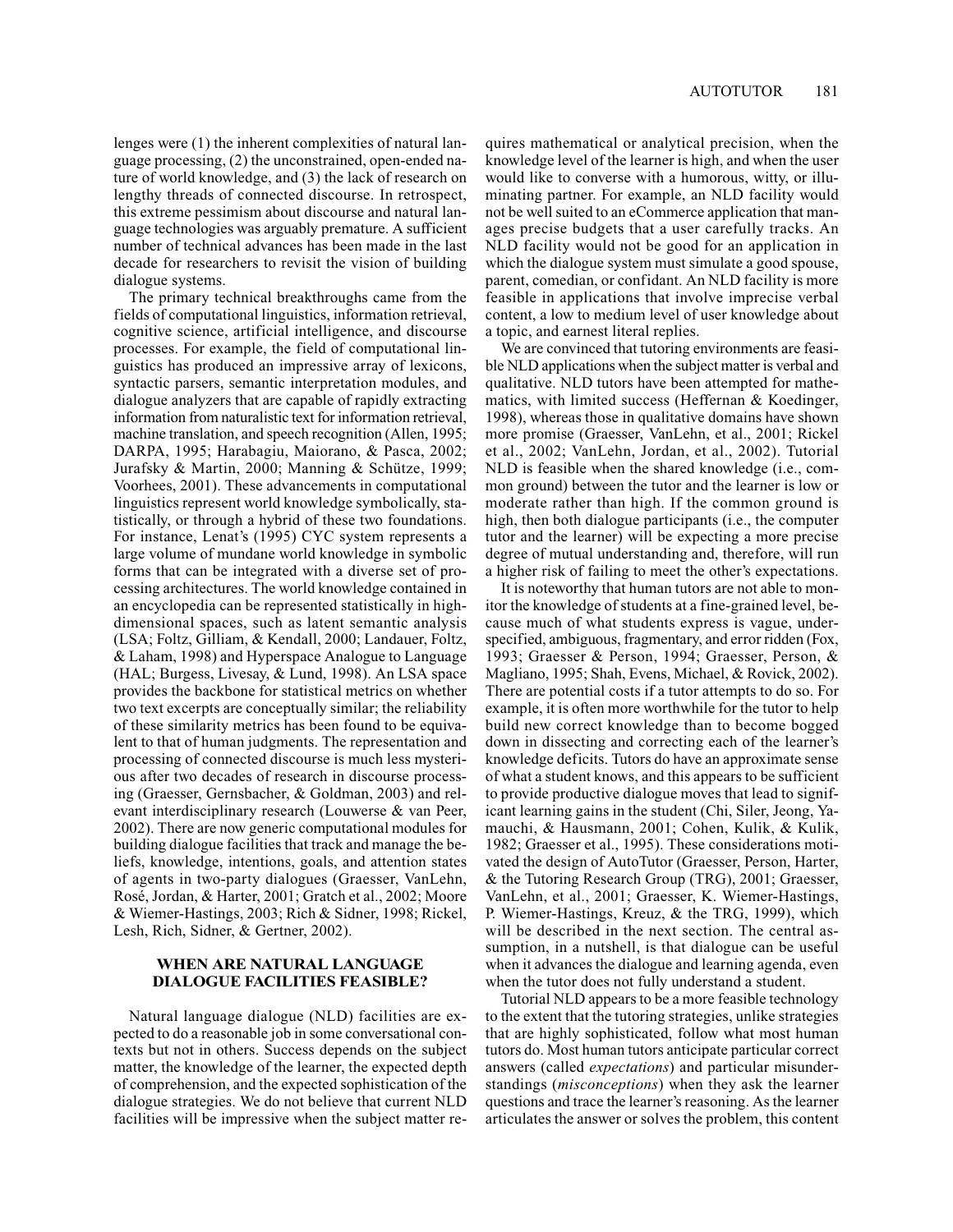lenges were (1) the inherent complexities of natural language processing, (2) the unconstrained, open-ended nature of world knowledge, and (3) the lack of research on lengthy threads of connected discourse. In retrospect, this extreme pessimism about discourse and natural language technologies was arguably premature. A sufficient number of technical advances has been made in the last decade for researchers to revisit the vision of building dialogue systems.

The primary technical breakthroughs came from the fields of computational linguistics, information retrieval, cognitive science, artificial intelligence, and discourse processes. For example, the field of computational linguistics has produced an impressive array of lexicons, syntactic parsers, semantic interpretation modules, and dialogue analyzers that are capable of rapidly extracting information from naturalistic text for information retrieval, machine translation, and speech recognition (Allen, 1995; DARPA, 1995; Harabagiu, Maiorano, & Pasca, 2002; Jurafsky & Martin, 2000; Manning & Schütze, 1999; Voorhees, 2001). These advancements in computational linguistics represent world knowledge symbolically, statistically, or through a hybrid of these two foundations. For instance, Lenat's (1995) CYC system represents a large volume of mundane world knowledge in symbolic forms that can be integrated with a diverse set of processing architectures. The world knowledge contained in an encyclopedia can be represented statistically in highdimensional spaces, such as latent semantic analysis (LSA; Foltz, Gilliam, & Kendall, 2000; Landauer, Foltz, & Laham, 1998) and Hyperspace Analogue to Language (HAL; Burgess, Livesay, & Lund, 1998). An LSA space provides the backbone for statistical metrics on whether two text excerpts are conceptually similar; the reliability of these similarity metrics has been found to be equivalent to that of human judgments. The representation and processing of connected discourse is much less mysterious after two decades of research in discourse processing (Graesser, Gernsbacher, & Goldman, 2003) and relevant interdisciplinary research (Louwerse & van Peer, 2002). There are now generic computational modules for building dialogue facilities that track and manage the beliefs, knowledge, intentions, goals, and attention states of agents in two-party dialogues (Graesser, VanLehn, Rosé, Jordan, & Harter, 2001; Gratch et al., 2002; Moore & Wiemer-Hastings, 2003; Rich & Sidner, 1998; Rickel, Lesh, Rich, Sidner, & Gertner, 2002).

## **WHEN ARE NATURAL LANGUAGE DIALOGUE FACILITIES FEASIBLE?**

Natural language dialogue (NLD) facilities are expected to do a reasonable job in some conversational contexts but not in others. Success depends on the subject matter, the knowledge of the learner, the expected depth of comprehension, and the expected sophistication of the dialogue strategies. We do not believe that current NLD facilities will be impressive when the subject matter re-

quires mathematical or analytical precision, when the knowledge level of the learner is high, and when the user would like to converse with a humorous, witty, or illuminating partner. For example, an NLD facility would not be well suited to an eCommerce application that manages precise budgets that a user carefully tracks. An NLD facility would not be good for an application in which the dialogue system must simulate a good spouse, parent, comedian, or confidant. An NLD facility is more feasible in applications that involve imprecise verbal content, a low to medium level of user knowledge about a topic, and earnest literal replies.

We are convinced that tutoring environments are feasible NLD applications when the subject matter is verbal and qualitative. NLD tutors have been attempted for mathematics, with limited success (Heffernan & Koedinger, 1998), whereas those in qualitative domains have shown more promise (Graesser, VanLehn, et al., 2001; Rickel et al., 2002; VanLehn, Jordan, et al., 2002). Tutorial NLD is feasible when the shared knowledge (i.e., common ground) between the tutor and the learner is low or moderate rather than high. If the common ground is high, then both dialogue participants (i.e., the computer tutor and the learner) will be expecting a more precise degree of mutual understanding and, therefore, will run a higher risk of failing to meet the other's expectations.

It is noteworthy that human tutors are not able to monitor the knowledge of students at a fine-grained level, because much of what students express is vague, underspecified, ambiguous, fragmentary, and error ridden (Fox, 1993; Graesser & Person, 1994; Graesser, Person, & Magliano, 1995; Shah, Evens, Michael, & Rovick, 2002). There are potential costs if a tutor attempts to do so. For example, it is often more worthwhile for the tutor to help build new correct knowledge than to become bogged down in dissecting and correcting each of the learner's knowledge deficits. Tutors do have an approximate sense of what a student knows, and this appears to be sufficient to provide productive dialogue moves that lead to significant learning gains in the student (Chi, Siler, Jeong, Yamauchi, & Hausmann, 2001; Cohen, Kulik, & Kulik, 1982; Graesser et al., 1995). These considerations motivated the design of AutoTutor (Graesser, Person, Harter, & the Tutoring Research Group (TRG), 2001; Graesser, VanLehn, et al., 2001; Graesser, K. Wiemer-Hastings, P. Wiemer-Hastings, Kreuz, & the TRG, 1999), which will be described in the next section. The central assumption, in a nutshell, is that dialogue can be useful when it advances the dialogue and learning agenda, even when the tutor does not fully understand a student.

Tutorial NLD appears to be a more feasible technology to the extent that the tutoring strategies, unlike strategies that are highly sophisticated, follow what most human tutors do. Most human tutors anticipate particular correct answers (called *expectations*) and particular misunderstandings (*misconceptions*) when they ask the learner questions and trace the learner's reasoning. As the learner articulates the answer or solves the problem, this content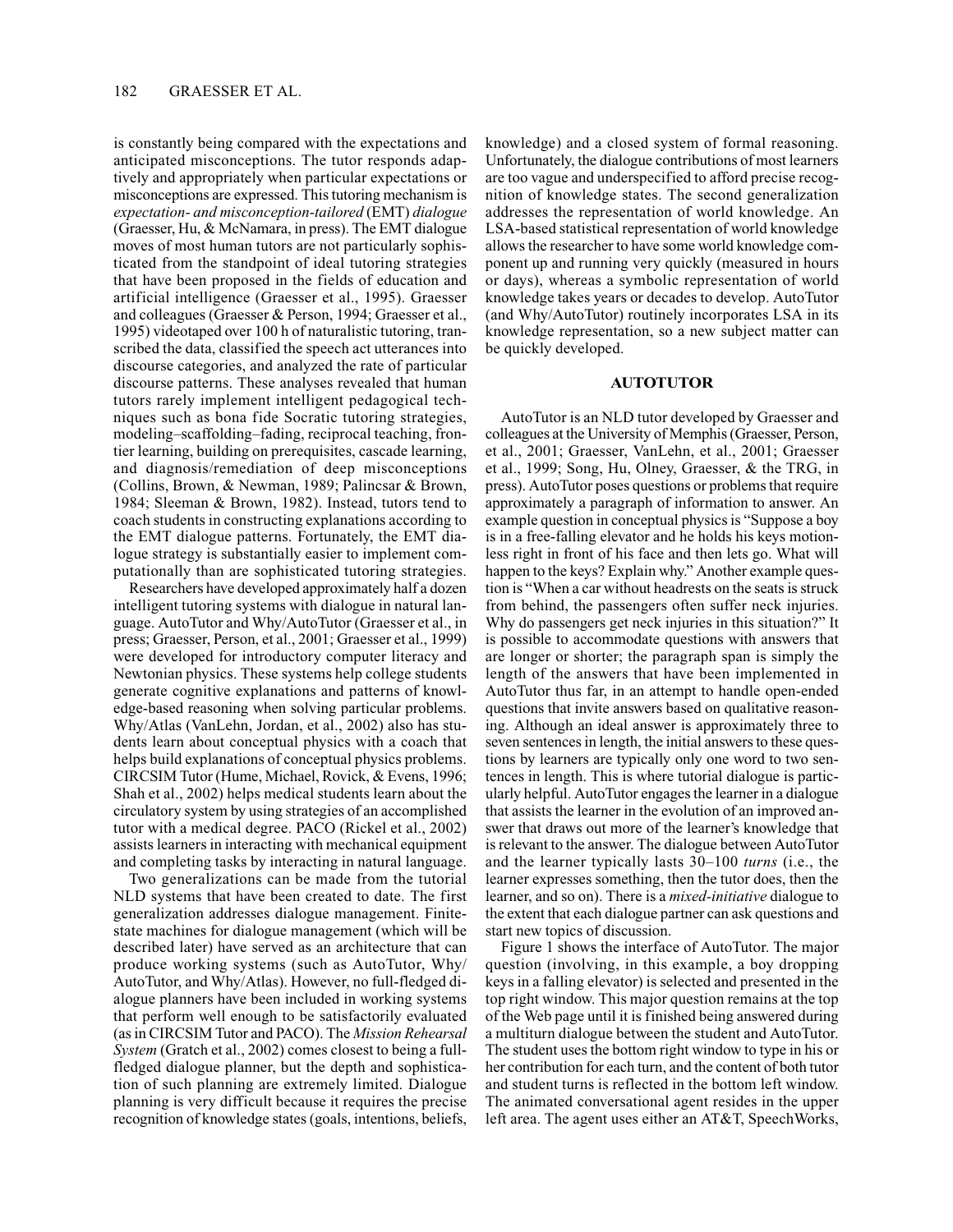is constantly being compared with the expectations and anticipated misconceptions. The tutor responds adaptively and appropriately when particular expectations or misconceptions are expressed. This tutoring mechanism is *expectation- and misconception-tailored* (EMT) *dialogue* (Graesser, Hu, & McNamara, in press). The EMT dialogue moves of most human tutors are not particularly sophisticated from the standpoint of ideal tutoring strategies that have been proposed in the fields of education and artificial intelligence (Graesser et al., 1995). Graesser and colleagues (Graesser & Person, 1994; Graesser et al., 1995) videotaped over 100 h of naturalistic tutoring, transcribed the data, classified the speech act utterances into discourse categories, and analyzed the rate of particular discourse patterns. These analyses revealed that human tutors rarely implement intelligent pedagogical techniques such as bona fide Socratic tutoring strategies, modeling–scaffolding–fading, reciprocal teaching, frontier learning, building on prerequisites, cascade learning, and diagnosis/remediation of deep misconceptions (Collins, Brown, & Newman, 1989; Palincsar & Brown, 1984; Sleeman & Brown, 1982). Instead, tutors tend to coach students in constructing explanations according to the EMT dialogue patterns. Fortunately, the EMT dialogue strategy is substantially easier to implement computationally than are sophisticated tutoring strategies.

Researchers have developed approximately half a dozen intelligent tutoring systems with dialogue in natural language. AutoTutor and Why/AutoTutor (Graesser et al., in press; Graesser, Person, et al., 2001; Graesser et al., 1999) were developed for introductory computer literacy and Newtonian physics. These systems help college students generate cognitive explanations and patterns of knowledge-based reasoning when solving particular problems. Why/Atlas (VanLehn, Jordan, et al., 2002) also has students learn about conceptual physics with a coach that helps build explanations of conceptual physics problems. CIRCSIM Tutor (Hume, Michael, Rovick, & Evens, 1996; Shah et al., 2002) helps medical students learn about the circulatory system by using strategies of an accomplished tutor with a medical degree. PACO (Rickel et al., 2002) assists learners in interacting with mechanical equipment and completing tasks by interacting in natural language.

Two generalizations can be made from the tutorial NLD systems that have been created to date. The first generalization addresses dialogue management. Finitestate machines for dialogue management (which will be described later) have served as an architecture that can produce working systems (such as AutoTutor, Why/ AutoTutor, and Why/Atlas). However, no full-fledged dialogue planners have been included in working systems that perform well enough to be satisfactorily evaluated (as in CIRCSIM Tutor and PACO). The *Mission Rehearsal System* (Gratch et al., 2002) comes closest to being a fullfledged dialogue planner, but the depth and sophistication of such planning are extremely limited. Dialogue planning is very difficult because it requires the precise recognition of knowledge states (goals, intentions, beliefs,

knowledge) and a closed system of formal reasoning. Unfortunately, the dialogue contributions of most learners are too vague and underspecified to afford precise recognition of knowledge states. The second generalization addresses the representation of world knowledge. An LSA-based statistical representation of world knowledge allows the researcher to have some world knowledge component up and running very quickly (measured in hours or days), whereas a symbolic representation of world knowledge takes years or decades to develop. AutoTutor (and Why/AutoTutor) routinely incorporates LSA in its knowledge representation, so a new subject matter can be quickly developed.

## **AUTOTUTOR**

AutoTutor is an NLD tutor developed by Graesser and colleagues at the University of Memphis (Graesser, Person, et al., 2001; Graesser, VanLehn, et al., 2001; Graesser et al., 1999; Song, Hu, Olney, Graesser, & the TRG, in press). AutoTutor poses questions or problems that require approximately a paragraph of information to answer. An example question in conceptual physics is "Suppose a boy is in a free-falling elevator and he holds his keys motionless right in front of his face and then lets go. What will happen to the keys? Explain why." Another example question is "When a car without headrests on the seats is struck from behind, the passengers often suffer neck injuries. Why do passengers get neck injuries in this situation?" It is possible to accommodate questions with answers that are longer or shorter; the paragraph span is simply the length of the answers that have been implemented in AutoTutor thus far, in an attempt to handle open-ended questions that invite answers based on qualitative reasoning. Although an ideal answer is approximately three to seven sentences in length, the initial answers to these questions by learners are typically only one word to two sentences in length. This is where tutorial dialogue is particularly helpful. AutoTutor engages the learner in a dialogue that assists the learner in the evolution of an improved answer that draws out more of the learner's knowledge that is relevant to the answer. The dialogue between AutoTutor and the learner typically lasts 30–100 *turns* (i.e., the learner expresses something, then the tutor does, then the learner, and so on). There is a *mixed-initiative* dialogue to the extent that each dialogue partner can ask questions and start new topics of discussion.

Figure 1 shows the interface of AutoTutor. The major question (involving, in this example, a boy dropping keys in a falling elevator) is selected and presented in the top right window. This major question remains at the top of the Web page until it is finished being answered during a multiturn dialogue between the student and AutoTutor. The student uses the bottom right window to type in his or her contribution for each turn, and the content of both tutor and student turns is reflected in the bottom left window. The animated conversational agent resides in the upper left area. The agent uses either an AT&T, SpeechWorks,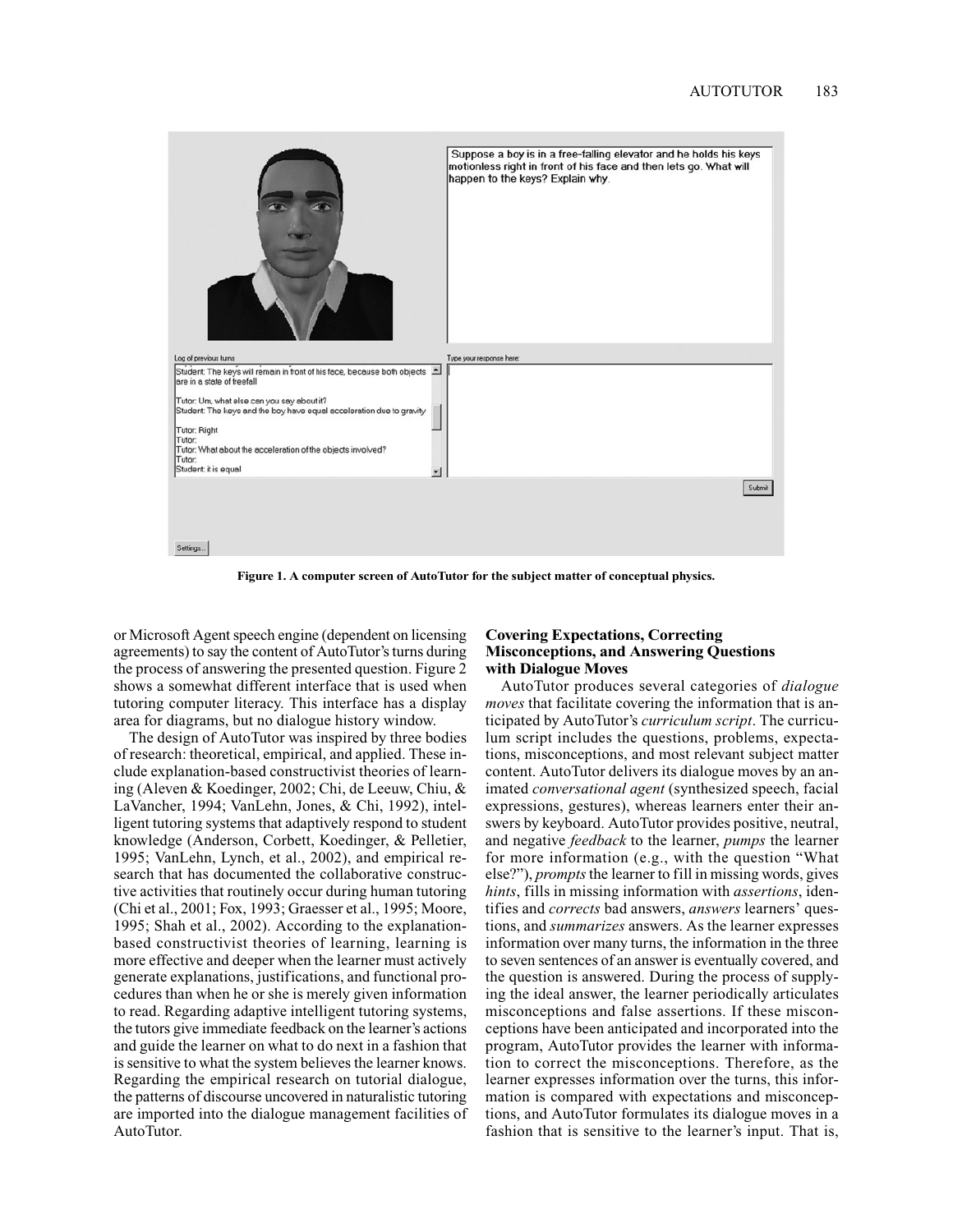

**Figure 1. A computer screen of AutoTutor for the subject matter of conceptual physics.**

or Microsoft Agent speech engine (dependent on licensing agreements) to say the content of AutoTutor's turns during the process of answering the presented question. Figure 2 shows a somewhat different interface that is used when tutoring computer literacy. This interface has a display area for diagrams, but no dialogue history window.

The design of AutoTutor was inspired by three bodies of research: theoretical, empirical, and applied. These include explanation-based constructivist theories of learning (Aleven & Koedinger, 2002; Chi, de Leeuw, Chiu, & LaVancher, 1994; VanLehn, Jones, & Chi, 1992), intelligent tutoring systems that adaptively respond to student knowledge (Anderson, Corbett, Koedinger, & Pelletier, 1995; VanLehn, Lynch, et al., 2002), and empirical research that has documented the collaborative constructive activities that routinely occur during human tutoring (Chi et al., 2001; Fox, 1993; Graesser et al., 1995; Moore, 1995; Shah et al., 2002). According to the explanationbased constructivist theories of learning, learning is more effective and deeper when the learner must actively generate explanations, justifications, and functional procedures than when he or she is merely given information to read. Regarding adaptive intelligent tutoring systems, the tutors give immediate feedback on the learner's actions and guide the learner on what to do next in a fashion that is sensitive to what the system believes the learner knows. Regarding the empirical research on tutorial dialogue, the patterns of discourse uncovered in naturalistic tutoring are imported into the dialogue management facilities of AutoTutor.

## **Covering Expectations, Correcting Misconceptions, and Answering Questions with Dialogue Moves**

AutoTutor produces several categories of *dialogue moves* that facilitate covering the information that is anticipated by AutoTutor's *curriculum script*. The curriculum script includes the questions, problems, expectations, misconceptions, and most relevant subject matter content. AutoTutor delivers its dialogue moves by an animated *conversational agent* (synthesized speech, facial expressions, gestures), whereas learners enter their answers by keyboard. AutoTutor provides positive, neutral, and negative *feedback* to the learner, *pumps* the learner for more information (e.g., with the question "What else?"), *prompts*the learner to fill in missing words, gives *hints*, fills in missing information with *assertions*, identifies and *corrects* bad answers, *answers* learners' questions, and *summarizes* answers. As the learner expresses information over many turns, the information in the three to seven sentences of an answer is eventually covered, and the question is answered. During the process of supplying the ideal answer, the learner periodically articulates misconceptions and false assertions. If these misconceptions have been anticipated and incorporated into the program, AutoTutor provides the learner with information to correct the misconceptions. Therefore, as the learner expresses information over the turns, this information is compared with expectations and misconceptions, and AutoTutor formulates its dialogue moves in a fashion that is sensitive to the learner's input. That is,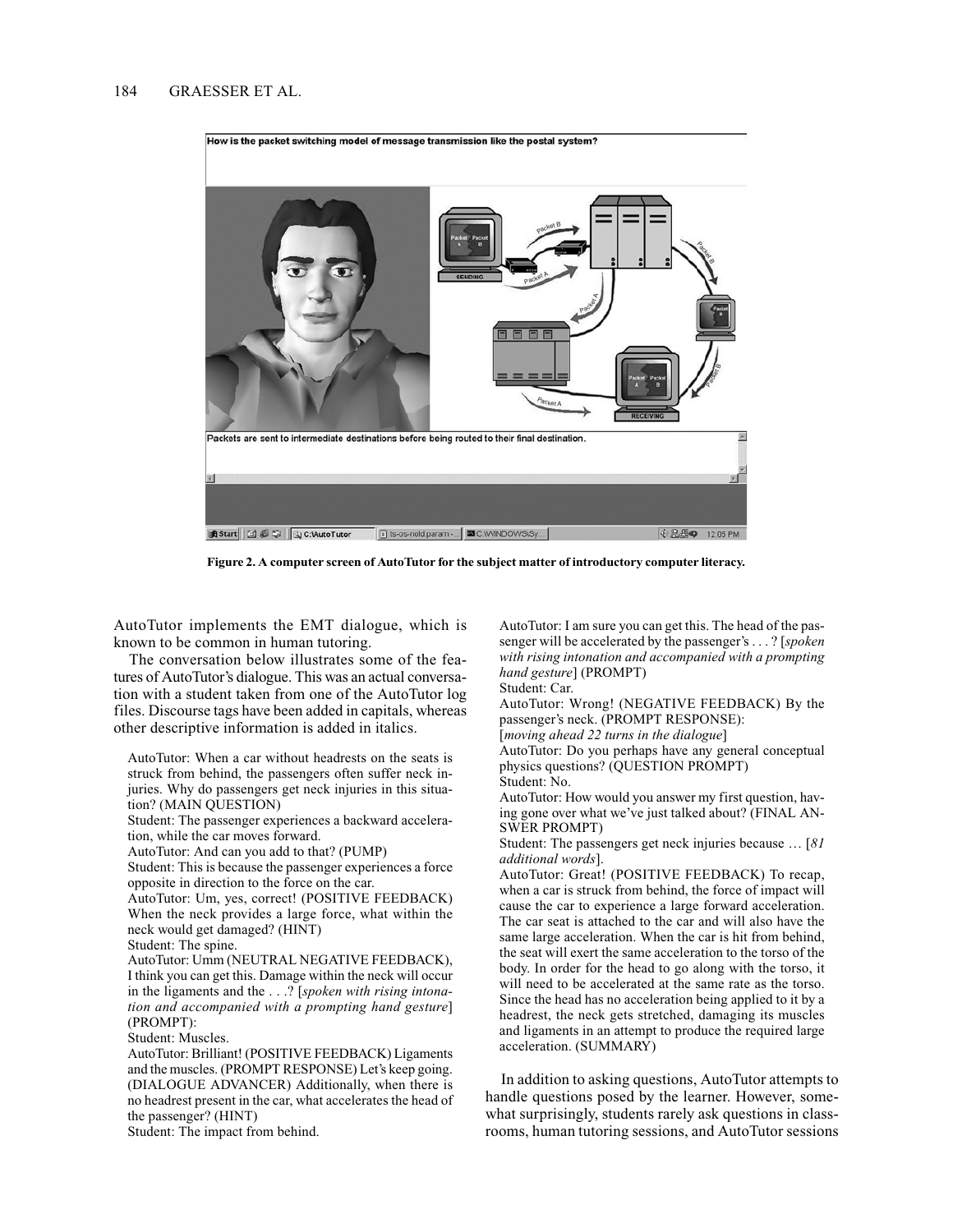

**Figure 2. A computer screen of AutoTutor for the subject matter of introductory computer literacy.**

AutoTutor implements the EMT dialogue, which is known to be common in human tutoring.

The conversation below illustrates some of the features of AutoTutor's dialogue. This was an actual conversation with a student taken from one of the AutoTutor log files. Discourse tags have been added in capitals, whereas other descriptive information is added in italics.

AutoTutor: When a car without headrests on the seats is struck from behind, the passengers often suffer neck injuries. Why do passengers get neck injuries in this situation? (MAIN QUESTION)

Student: The passenger experiences a backward acceleration, while the car moves forward.

AutoTutor: And can you add to that? (PUMP)

Student: This is because the passenger experiences a force opposite in direction to the force on the car.

AutoTutor: Um, yes, correct! (POSITIVE FEEDBACK) When the neck provides a large force, what within the neck would get damaged? (HINT)

Student: The spine.

AutoTutor: Umm (NEUTRAL NEGATIVE FEEDBACK), I think you can get this. Damage within the neck will occur in the ligaments and the . . .? [*spoken with rising intonation and accompanied with a prompting hand gesture*] (PROMPT):

Student: Muscles.

AutoTutor: Brilliant! (POSITIVE FEEDBACK) Ligaments and the muscles. (PROMPT RESPONSE) Let's keep going. (DIALOGUE ADVANCER) Additionally, when there is no headrest present in the car, what accelerates the head of the passenger? (HINT)

Student: The impact from behind.

AutoTutor: I am sure you can get this. The head of the passenger will be accelerated by the passenger's . . . ? [*spoken with rising intonation and accompanied with a prompting hand gesture*] (PROMPT)

Student: Car.

AutoTutor: Wrong! (NEGATIVE FEEDBACK) By the passenger's neck. (PROMPT RESPONSE):

[*moving ahead 22 turns in the dialogue*]

AutoTutor: Do you perhaps have any general conceptual physics questions? (QUESTION PROMPT)

Student: No.

AutoTutor: How would you answer my first question, having gone over what we've just talked about? (FINAL AN-SWER PROMPT)

Student: The passengers get neck injuries because … [*81 additional words*].

AutoTutor: Great! (POSITIVE FEEDBACK) To recap, when a car is struck from behind, the force of impact will cause the car to experience a large forward acceleration. The car seat is attached to the car and will also have the same large acceleration. When the car is hit from behind, the seat will exert the same acceleration to the torso of the body. In order for the head to go along with the torso, it will need to be accelerated at the same rate as the torso. Since the head has no acceleration being applied to it by a headrest, the neck gets stretched, damaging its muscles and ligaments in an attempt to produce the required large acceleration. (SUMMARY)

In addition to asking questions, AutoTutor attempts to handle questions posed by the learner. However, somewhat surprisingly, students rarely ask questions in classrooms, human tutoring sessions, and AutoTutor sessions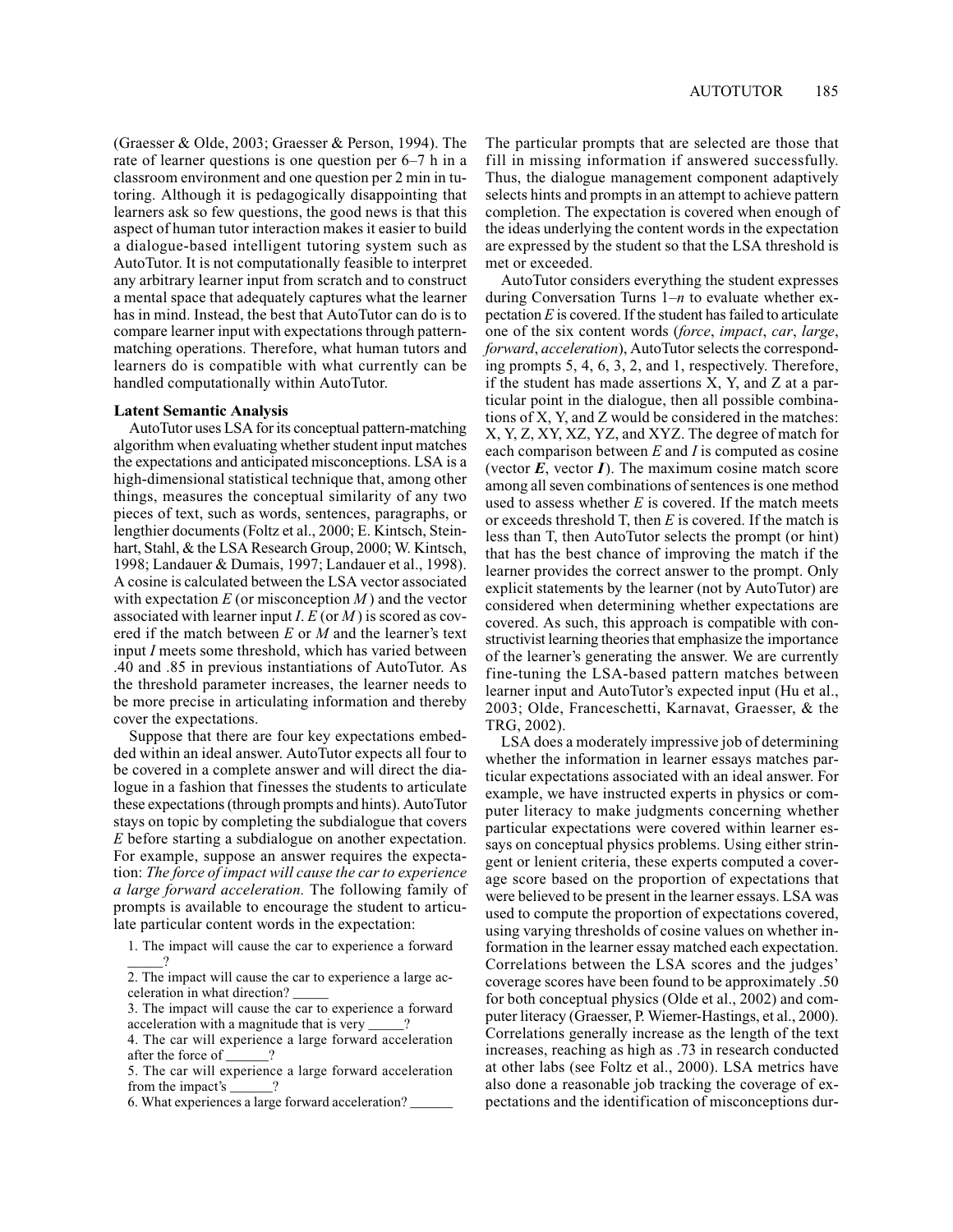(Graesser & Olde, 2003; Graesser & Person, 1994). The rate of learner questions is one question per 6–7 h in a classroom environment and one question per 2 min in tutoring. Although it is pedagogically disappointing that learners ask so few questions, the good news is that this aspect of human tutor interaction makes it easier to build a dialogue-based intelligent tutoring system such as AutoTutor. It is not computationally feasible to interpret any arbitrary learner input from scratch and to construct a mental space that adequately captures what the learner has in mind. Instead, the best that AutoTutor can do is to compare learner input with expectations through patternmatching operations. Therefore, what human tutors and learners do is compatible with what currently can be handled computationally within AutoTutor.

#### **Latent Semantic Analysis**

AutoTutor uses LSA for its conceptual pattern-matching algorithm when evaluating whether student input matches the expectations and anticipated misconceptions. LSA is a high-dimensional statistical technique that, among other things, measures the conceptual similarity of any two pieces of text, such as words, sentences, paragraphs, or lengthier documents (Foltz et al., 2000; E. Kintsch, Steinhart, Stahl, & the LSA Research Group, 2000; W. Kintsch, 1998; Landauer & Dumais, 1997; Landauer et al., 1998). A cosine is calculated between the LSA vector associated with expectation  $E$  (or misconception  $M$ ) and the vector associated with learner input *I*. *E* (or *M* ) is scored as covered if the match between *E* or *M* and the learner's text input *I* meets some threshold, which has varied between .40 and .85 in previous instantiations of AutoTutor. As the threshold parameter increases, the learner needs to be more precise in articulating information and thereby cover the expectations.

Suppose that there are four key expectations embedded within an ideal answer. AutoTutor expects all four to be covered in a complete answer and will direct the dialogue in a fashion that finesses the students to articulate these expectations (through prompts and hints). AutoTutor stays on topic by completing the subdialogue that covers *E* before starting a subdialogue on another expectation. For example, suppose an answer requires the expectation: *The force of impact will cause the car to experience a large forward acceleration.* The following family of prompts is available to encourage the student to articulate particular content words in the expectation:

1. The impact will cause the car to experience a forward  $\overline{\phantom{1}}$ .

2. The impact will cause the car to experience a large acceleration in what direction?

3. The impact will cause the car to experience a forward acceleration with a magnitude that is very \_\_\_\_\_?

4. The car will experience a large forward acceleration after the force of \_\_\_\_\_\_?

5. The car will experience a large forward acceleration from the impact's \_\_\_\_\_?

6. What experiences a large forward acceleration? \_\_\_\_\_\_

The particular prompts that are selected are those that fill in missing information if answered successfully. Thus, the dialogue management component adaptively selects hints and prompts in an attempt to achieve pattern completion. The expectation is covered when enough of the ideas underlying the content words in the expectation are expressed by the student so that the LSA threshold is met or exceeded.

AutoTutor considers everything the student expresses during Conversation Turns 1–*n* to evaluate whether expectation *E* is covered. If the student has failed to articulate one of the six content words (*force*, *impact*, *car*, *large*, *forward*, *acceleration*), AutoTutor selects the corresponding prompts 5, 4, 6, 3, 2, and 1, respectively. Therefore, if the student has made assertions X, Y, and Z at a particular point in the dialogue, then all possible combinations of X, Y, and Z would be considered in the matches: X, Y, Z, XY, XZ, YZ, and XYZ. The degree of match for each comparison between *E* and *I* is computed as cosine (vector  $E$ , vector  $I$ ). The maximum cosine match score among all seven combinations of sentences is one method used to assess whether *E* is covered. If the match meets or exceeds threshold T, then *E* is covered. If the match is less than T, then AutoTutor selects the prompt (or hint) that has the best chance of improving the match if the learner provides the correct answer to the prompt. Only explicit statements by the learner (not by AutoTutor) are considered when determining whether expectations are covered. As such, this approach is compatible with constructivist learning theories that emphasize the importance of the learner's generating the answer. We are currently fine-tuning the LSA-based pattern matches between learner input and AutoTutor's expected input (Hu et al., 2003; Olde, Franceschetti, Karnavat, Graesser, & the TRG, 2002).

LSA does a moderately impressive job of determining whether the information in learner essays matches particular expectations associated with an ideal answer. For example, we have instructed experts in physics or computer literacy to make judgments concerning whether particular expectations were covered within learner essays on conceptual physics problems. Using either stringent or lenient criteria, these experts computed a coverage score based on the proportion of expectations that were believed to be present in the learner essays. LSA was used to compute the proportion of expectations covered, using varying thresholds of cosine values on whether information in the learner essay matched each expectation. Correlations between the LSA scores and the judges' coverage scores have been found to be approximately .50 for both conceptual physics (Olde et al., 2002) and computer literacy (Graesser, P. Wiemer-Hastings, et al., 2000). Correlations generally increase as the length of the text increases, reaching as high as .73 in research conducted at other labs (see Foltz et al., 2000). LSA metrics have also done a reasonable job tracking the coverage of expectations and the identification of misconceptions dur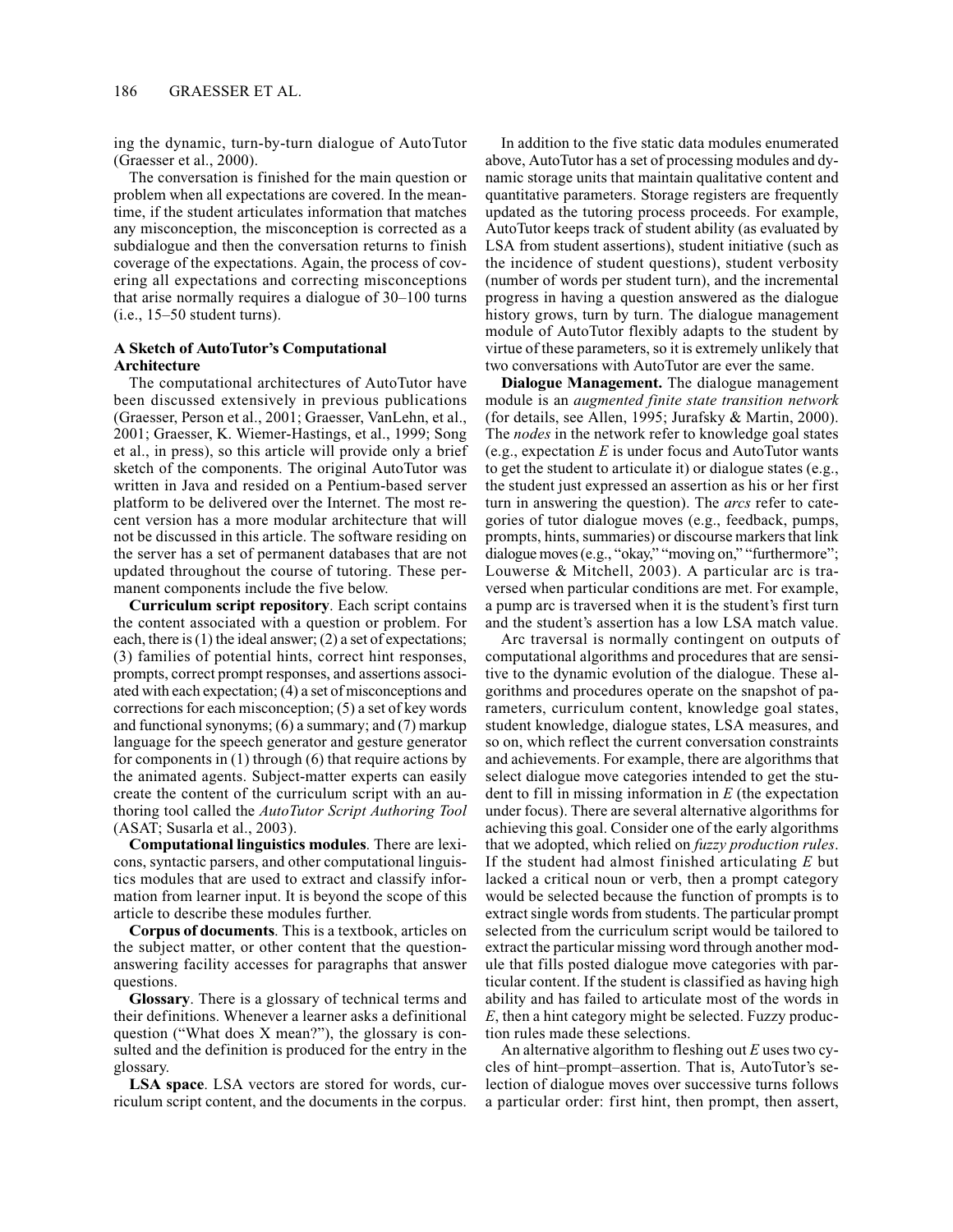ing the dynamic, turn-by-turn dialogue of AutoTutor (Graesser et al., 2000).

The conversation is finished for the main question or problem when all expectations are covered. In the meantime, if the student articulates information that matches any misconception, the misconception is corrected as a subdialogue and then the conversation returns to finish coverage of the expectations. Again, the process of covering all expectations and correcting misconceptions that arise normally requires a dialogue of 30–100 turns (i.e., 15–50 student turns).

## **A Sketch of AutoTutor's Computational Architecture**

The computational architectures of AutoTutor have been discussed extensively in previous publications (Graesser, Person et al., 2001; Graesser, VanLehn, et al., 2001; Graesser, K. Wiemer-Hastings, et al., 1999; Song et al., in press), so this article will provide only a brief sketch of the components. The original AutoTutor was written in Java and resided on a Pentium-based server platform to be delivered over the Internet. The most recent version has a more modular architecture that will not be discussed in this article. The software residing on the server has a set of permanent databases that are not updated throughout the course of tutoring. These permanent components include the five below.

**Curriculum script repository**. Each script contains the content associated with a question or problem. For each, there is (1) the ideal answer; (2) a set of expectations; (3) families of potential hints, correct hint responses, prompts, correct prompt responses, and assertions associated with each expectation; (4) a set of misconceptions and corrections for each misconception; (5) a set of key words and functional synonyms; (6) a summary; and (7) markup language for the speech generator and gesture generator for components in (1) through (6) that require actions by the animated agents. Subject-matter experts can easily create the content of the curriculum script with an authoring tool called the *AutoTutor Script Authoring Tool* (ASAT; Susarla et al., 2003).

**Computational linguistics modules**. There are lexicons, syntactic parsers, and other computational linguistics modules that are used to extract and classify information from learner input. It is beyond the scope of this article to describe these modules further.

**Corpus of documents**. This is a textbook, articles on the subject matter, or other content that the questionanswering facility accesses for paragraphs that answer questions.

**Glossary**. There is a glossary of technical terms and their definitions. Whenever a learner asks a definitional question ("What does X mean?"), the glossary is consulted and the definition is produced for the entry in the glossary.

**LSA space**. LSA vectors are stored for words, curriculum script content, and the documents in the corpus.

In addition to the five static data modules enumerated above, AutoTutor has a set of processing modules and dynamic storage units that maintain qualitative content and quantitative parameters. Storage registers are frequently updated as the tutoring process proceeds. For example, AutoTutor keeps track of student ability (as evaluated by LSA from student assertions), student initiative (such as the incidence of student questions), student verbosity (number of words per student turn), and the incremental progress in having a question answered as the dialogue history grows, turn by turn. The dialogue management module of AutoTutor flexibly adapts to the student by virtue of these parameters, so it is extremely unlikely that two conversations with AutoTutor are ever the same.

**Dialogue Management.** The dialogue management module is an *augmented finite state transition network* (for details, see Allen, 1995; Jurafsky & Martin, 2000). The *nodes* in the network refer to knowledge goal states (e.g., expectation *E* is under focus and AutoTutor wants to get the student to articulate it) or dialogue states (e.g., the student just expressed an assertion as his or her first turn in answering the question). The *arcs* refer to categories of tutor dialogue moves (e.g., feedback, pumps, prompts, hints, summaries) or discourse markers that link dialogue moves (e.g., "okay," "moving on," "furthermore"; Louwerse & Mitchell, 2003). A particular arc is traversed when particular conditions are met. For example, a pump arc is traversed when it is the student's first turn and the student's assertion has a low LSA match value.

Arc traversal is normally contingent on outputs of computational algorithms and procedures that are sensitive to the dynamic evolution of the dialogue. These algorithms and procedures operate on the snapshot of parameters, curriculum content, knowledge goal states, student knowledge, dialogue states, LSA measures, and so on, which reflect the current conversation constraints and achievements. For example, there are algorithms that select dialogue move categories intended to get the student to fill in missing information in *E* (the expectation under focus). There are several alternative algorithms for achieving this goal. Consider one of the early algorithms that we adopted, which relied on *fuzzy production rules*. If the student had almost finished articulating *E* but lacked a critical noun or verb, then a prompt category would be selected because the function of prompts is to extract single words from students. The particular prompt selected from the curriculum script would be tailored to extract the particular missing word through another module that fills posted dialogue move categories with particular content. If the student is classified as having high ability and has failed to articulate most of the words in *E*, then a hint category might be selected. Fuzzy production rules made these selections.

An alternative algorithm to fleshing out *E* uses two cycles of hint–prompt–assertion. That is, AutoTutor's selection of dialogue moves over successive turns follows a particular order: first hint, then prompt, then assert,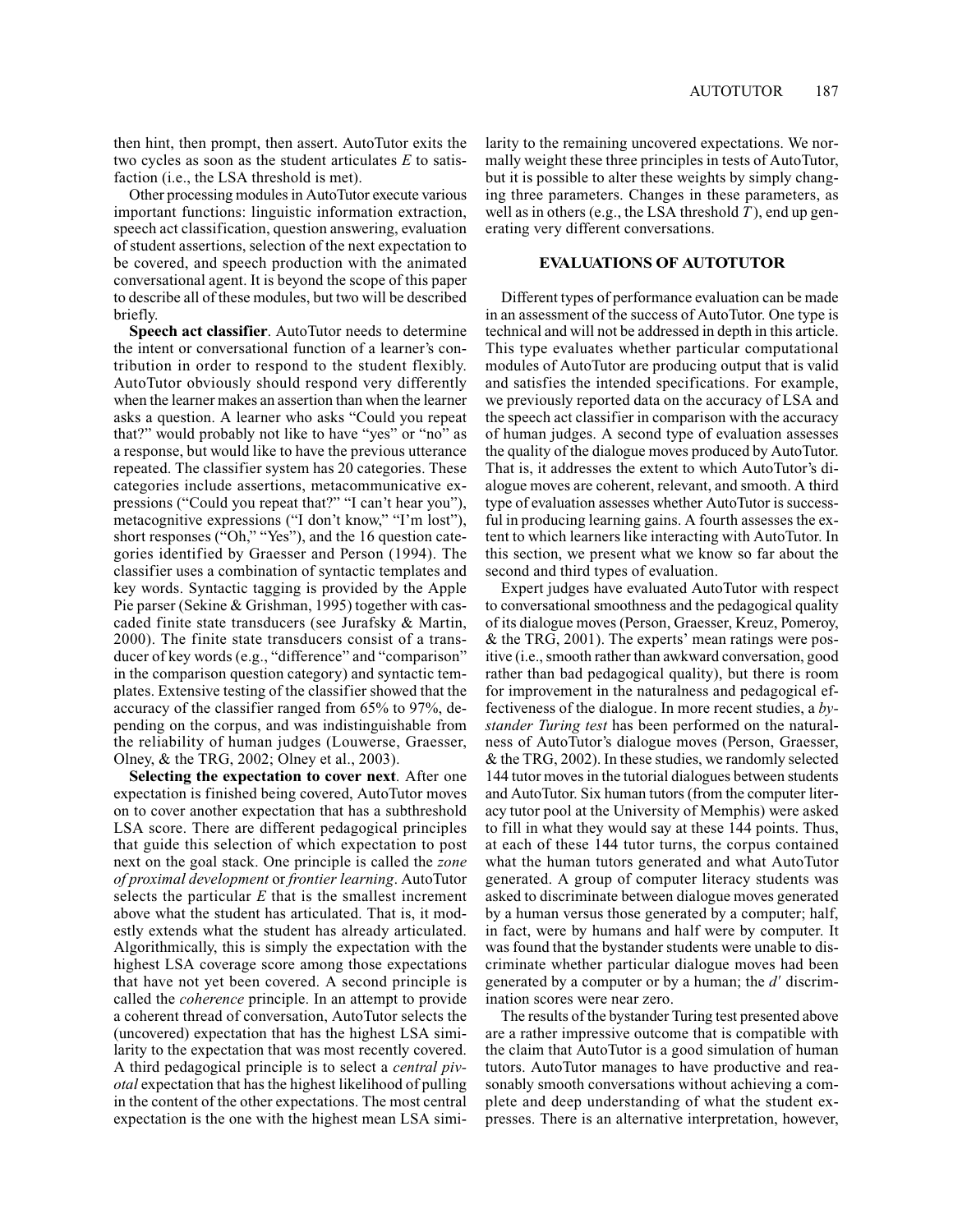then hint, then prompt, then assert. AutoTutor exits the two cycles as soon as the student articulates *E* to satisfaction (i.e., the LSA threshold is met).

Other processing modules in AutoTutor execute various important functions: linguistic information extraction, speech act classification, question answering, evaluation of student assertions, selection of the next expectation to be covered, and speech production with the animated conversational agent. It is beyond the scope of this paper to describe all of these modules, but two will be described briefly.

**Speech act classifier**. AutoTutor needs to determine the intent or conversational function of a learner's contribution in order to respond to the student flexibly. AutoTutor obviously should respond very differently when the learner makes an assertion than when the learner asks a question. A learner who asks "Could you repeat that?" would probably not like to have "yes" or "no" as a response, but would like to have the previous utterance repeated. The classifier system has 20 categories. These categories include assertions, metacommunicative expressions ("Could you repeat that?" "I can't hear you"), metacognitive expressions ("I don't know," "I'm lost"), short responses ("Oh," "Yes"), and the 16 question categories identified by Graesser and Person (1994). The classifier uses a combination of syntactic templates and key words. Syntactic tagging is provided by the Apple Pie parser (Sekine & Grishman, 1995) together with cascaded finite state transducers (see Jurafsky & Martin, 2000). The finite state transducers consist of a transducer of key words (e.g., "difference" and "comparison" in the comparison question category) and syntactic templates. Extensive testing of the classifier showed that the accuracy of the classifier ranged from 65% to 97%, depending on the corpus, and was indistinguishable from the reliability of human judges (Louwerse, Graesser, Olney, & the TRG, 2002; Olney et al., 2003).

**Selecting the expectation to cover next**. After one expectation is finished being covered, AutoTutor moves on to cover another expectation that has a subthreshold LSA score. There are different pedagogical principles that guide this selection of which expectation to post next on the goal stack. One principle is called the *zone of proximal development* or *frontier learning*. AutoTutor selects the particular *E* that is the smallest increment above what the student has articulated. That is, it modestly extends what the student has already articulated. Algorithmically, this is simply the expectation with the highest LSA coverage score among those expectations that have not yet been covered. A second principle is called the *coherence* principle. In an attempt to provide a coherent thread of conversation, AutoTutor selects the (uncovered) expectation that has the highest LSA similarity to the expectation that was most recently covered. A third pedagogical principle is to select a *central pivotal* expectation that has the highest likelihood of pulling in the content of the other expectations. The most central expectation is the one with the highest mean LSA simi-

larity to the remaining uncovered expectations. We normally weight these three principles in tests of AutoTutor, but it is possible to alter these weights by simply changing three parameters. Changes in these parameters, as well as in others (e.g., the LSA threshold *T* ), end up generating very different conversations.

### **EVALUATIONS OF AUTOTUTOR**

Different types of performance evaluation can be made in an assessment of the success of AutoTutor. One type is technical and will not be addressed in depth in this article. This type evaluates whether particular computational modules of AutoTutor are producing output that is valid and satisfies the intended specifications. For example, we previously reported data on the accuracy of LSA and the speech act classifier in comparison with the accuracy of human judges. A second type of evaluation assesses the quality of the dialogue moves produced by AutoTutor. That is, it addresses the extent to which AutoTutor's dialogue moves are coherent, relevant, and smooth. A third type of evaluation assesses whether AutoTutor is successful in producing learning gains. A fourth assesses the extent to which learners like interacting with AutoTutor. In this section, we present what we know so far about the second and third types of evaluation.

Expert judges have evaluated AutoTutor with respect to conversational smoothness and the pedagogical quality of its dialogue moves (Person, Graesser, Kreuz, Pomeroy, & the TRG, 2001). The experts' mean ratings were positive (i.e., smooth rather than awkward conversation, good rather than bad pedagogical quality), but there is room for improvement in the naturalness and pedagogical effectiveness of the dialogue. In more recent studies, a *bystander Turing test* has been performed on the naturalness of AutoTutor's dialogue moves (Person, Graesser, & the TRG, 2002). In these studies, we randomly selected 144 tutor moves in the tutorial dialogues between students and AutoTutor. Six human tutors (from the computer literacy tutor pool at the University of Memphis) were asked to fill in what they would say at these 144 points. Thus, at each of these 144 tutor turns, the corpus contained what the human tutors generated and what AutoTutor generated. A group of computer literacy students was asked to discriminate between dialogue moves generated by a human versus those generated by a computer; half, in fact, were by humans and half were by computer. It was found that the bystander students were unable to discriminate whether particular dialogue moves had been generated by a computer or by a human; the *d*′ discrimination scores were near zero.

The results of the bystander Turing test presented above are a rather impressive outcome that is compatible with the claim that AutoTutor is a good simulation of human tutors. AutoTutor manages to have productive and reasonably smooth conversations without achieving a complete and deep understanding of what the student expresses. There is an alternative interpretation, however,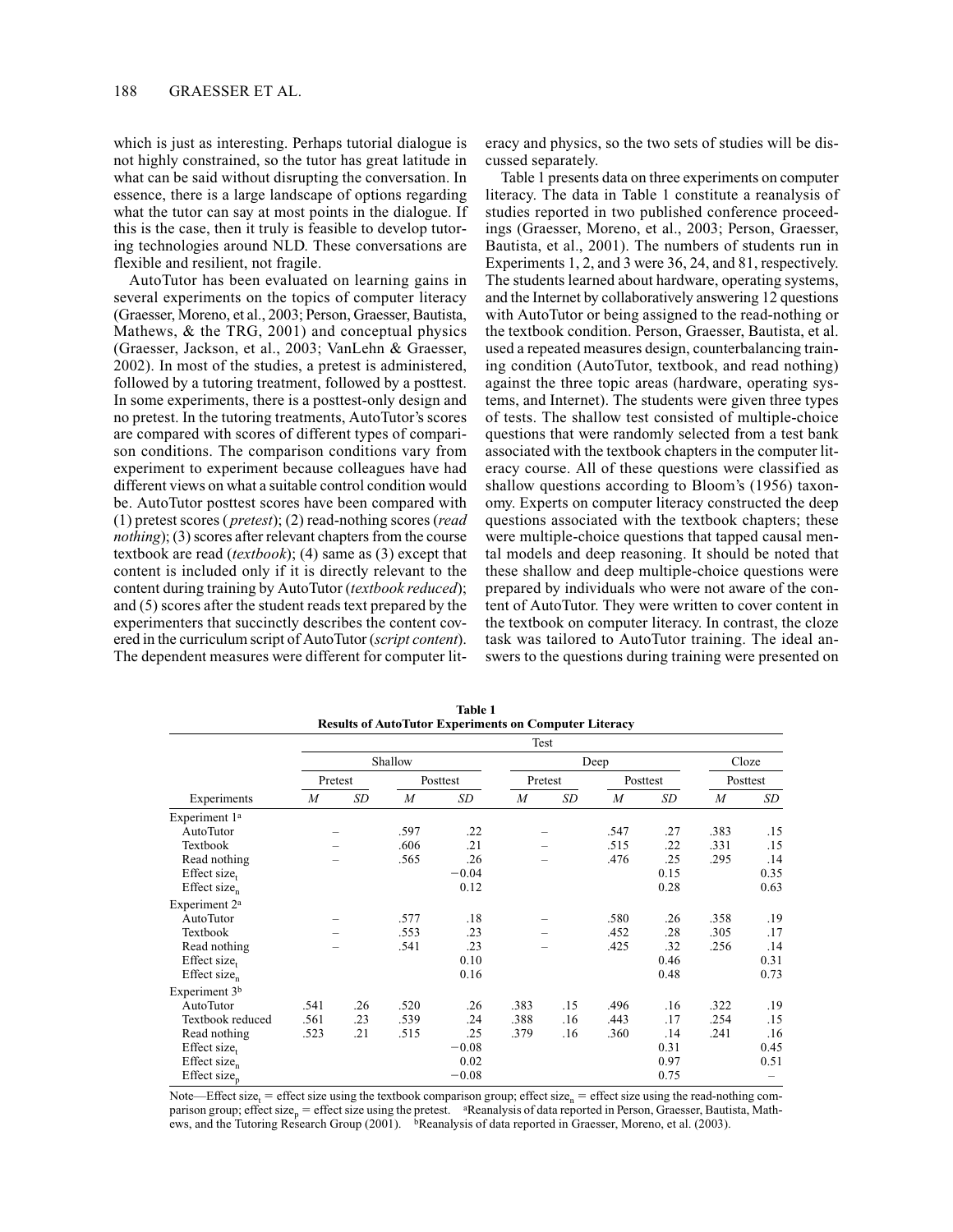which is just as interesting. Perhaps tutorial dialogue is not highly constrained, so the tutor has great latitude in what can be said without disrupting the conversation. In essence, there is a large landscape of options regarding what the tutor can say at most points in the dialogue. If this is the case, then it truly is feasible to develop tutoring technologies around NLD. These conversations are flexible and resilient, not fragile.

AutoTutor has been evaluated on learning gains in several experiments on the topics of computer literacy (Graesser, Moreno, et al., 2003; Person, Graesser, Bautista, Mathews, & the TRG, 2001) and conceptual physics (Graesser, Jackson, et al., 2003; VanLehn & Graesser, 2002). In most of the studies, a pretest is administered, followed by a tutoring treatment, followed by a posttest. In some experiments, there is a posttest-only design and no pretest. In the tutoring treatments, AutoTutor's scores are compared with scores of different types of comparison conditions. The comparison conditions vary from experiment to experiment because colleagues have had different views on what a suitable control condition would be. AutoTutor posttest scores have been compared with (1) pretest scores ( *pretest*); (2) read-nothing scores (*read nothing*); (3) scores after relevant chapters from the course textbook are read (*textbook*); (4) same as (3) except that content is included only if it is directly relevant to the content during training by AutoTutor (*textbook reduced*); and (5) scores after the student reads text prepared by the experimenters that succinctly describes the content covered in the curriculum script of AutoTutor (*script content*). The dependent measures were different for computer lit-

eracy and physics, so the two sets of studies will be discussed separately.

Table 1 presents data on three experiments on computer literacy. The data in Table 1 constitute a reanalysis of studies reported in two published conference proceedings (Graesser, Moreno, et al., 2003; Person, Graesser, Bautista, et al., 2001). The numbers of students run in Experiments 1, 2, and 3 were 36, 24, and 81, respectively. The students learned about hardware, operating systems, and the Internet by collaboratively answering 12 questions with AutoTutor or being assigned to the read-nothing or the textbook condition. Person, Graesser, Bautista, et al. used a repeated measures design, counterbalancing training condition (AutoTutor, textbook, and read nothing) against the three topic areas (hardware, operating systems, and Internet). The students were given three types of tests. The shallow test consisted of multiple-choice questions that were randomly selected from a test bank associated with the textbook chapters in the computer literacy course. All of these questions were classified as shallow questions according to Bloom's (1956) taxonomy. Experts on computer literacy constructed the deep questions associated with the textbook chapters; these were multiple-choice questions that tapped causal mental models and deep reasoning. It should be noted that these shallow and deep multiple-choice questions were prepared by individuals who were not aware of the content of AutoTutor. They were written to cover content in the textbook on computer literacy. In contrast, the cloze task was tailored to AutoTutor training. The ideal answers to the questions during training were presented on

|                           | Test             |           |          |         |                  |     |                  |      |                  |      |
|---------------------------|------------------|-----------|----------|---------|------------------|-----|------------------|------|------------------|------|
| Experiments               | Shallow          |           |          |         | Deep             |     |                  |      | Cloze            |      |
|                           | Pretest          |           | Posttest |         | Pretest          |     | Posttest         |      | Posttest         |      |
|                           | $\boldsymbol{M}$ | <b>SD</b> | M        | SD      | $\boldsymbol{M}$ | SD  | $\boldsymbol{M}$ | SD   | $\boldsymbol{M}$ | SD   |
| Experiment 1 <sup>a</sup> |                  |           |          |         |                  |     |                  |      |                  |      |
| AutoTutor                 |                  |           | .597     | .22     |                  |     | .547             | .27  | .383             | .15  |
| Textbook                  |                  |           | .606     | .21     |                  |     | .515             | .22  | .331             | .15  |
| Read nothing              |                  |           | .565     | .26     |                  |     | .476             | .25  | .295             | .14  |
| Effect size,              |                  |           |          | $-0.04$ |                  |     |                  | 0.15 |                  | 0.35 |
| Effect size <sub>n</sub>  |                  |           |          | 0.12    |                  |     |                  | 0.28 |                  | 0.63 |
| Experiment 2 <sup>a</sup> |                  |           |          |         |                  |     |                  |      |                  |      |
| AutoTutor                 |                  |           | .577     | .18     |                  |     | .580             | .26  | .358             | .19  |
| Textbook                  |                  |           | .553     | .23     |                  |     | .452             | .28  | .305             | .17  |
| Read nothing              |                  |           | .541     | .23     |                  |     | .425             | .32  | .256             | .14  |
| Effect size.              |                  |           |          | 0.10    |                  |     |                  | 0.46 |                  | 0.31 |
| Effect size <sub>n</sub>  |                  |           |          | 0.16    |                  |     |                  | 0.48 |                  | 0.73 |
| Experiment 3 <sup>b</sup> |                  |           |          |         |                  |     |                  |      |                  |      |
| AutoTutor                 | .541             | .26       | .520     | .26     | .383             | .15 | .496             | .16  | .322             | .19  |
| Textbook reduced          | .561             | .23       | .539     | .24     | .388             | .16 | .443             | .17  | .254             | .15  |
| Read nothing              | .523             | .21       | .515     | .25     | .379             | .16 | .360             | .14  | .241             | .16  |
| Effect size $_{t}$        |                  |           |          | $-0.08$ |                  |     |                  | 0.31 |                  | 0.45 |
| Effect size <sub>n</sub>  |                  |           |          | 0.02    |                  |     |                  | 0.97 |                  | 0.51 |
| Effect size <sub>p</sub>  |                  |           |          | $-0.08$ |                  |     |                  | 0.75 |                  |      |

**Table 1 Results of AutoTutor Experiments on Computer Literacy**

Note—Effect size<sub>t</sub> = effect size using the textbook comparison group; effect size<sub>n</sub> = effect size using the read-nothing comparison group; effect size<sub>p</sub> = effect size using the pretest. <sup>a</sup>Reanalysis of data reported in Person, Graesser, Bautista, Mathews, and the Tutoring Research Group (2001). bReanalysis of data reported in Graesser, Moreno, et al. (2003).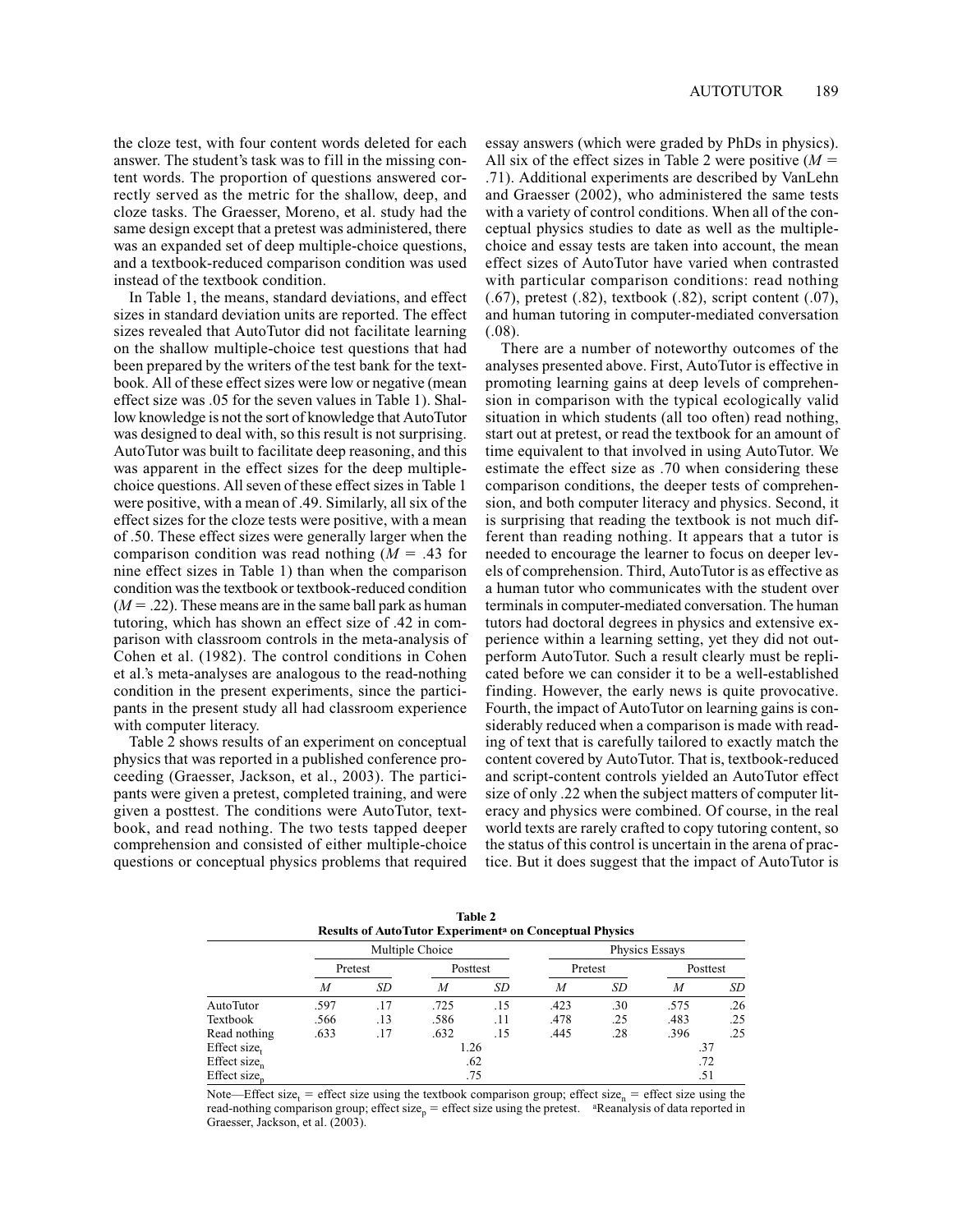the cloze test, with four content words deleted for each answer. The student's task was to fill in the missing content words. The proportion of questions answered correctly served as the metric for the shallow, deep, and cloze tasks. The Graesser, Moreno, et al. study had the same design except that a pretest was administered, there was an expanded set of deep multiple-choice questions, and a textbook-reduced comparison condition was used instead of the textbook condition.

In Table 1, the means, standard deviations, and effect sizes in standard deviation units are reported. The effect sizes revealed that AutoTutor did not facilitate learning on the shallow multiple-choice test questions that had been prepared by the writers of the test bank for the textbook. All of these effect sizes were low or negative (mean effect size was .05 for the seven values in Table 1). Shallow knowledge is not the sort of knowledge that AutoTutor was designed to deal with, so this result is not surprising. AutoTutor was built to facilitate deep reasoning, and this was apparent in the effect sizes for the deep multiplechoice questions. All seven of these effect sizes in Table 1 were positive, with a mean of .49. Similarly, all six of the effect sizes for the cloze tests were positive, with a mean of .50. These effect sizes were generally larger when the comparison condition was read nothing  $(M = .43)$  for nine effect sizes in Table 1) than when the comparison condition was the textbook or textbook-reduced condition  $(M = .22)$ . These means are in the same ball park as human tutoring, which has shown an effect size of .42 in comparison with classroom controls in the meta-analysis of Cohen et al. (1982). The control conditions in Cohen et al.'s meta-analyses are analogous to the read-nothing condition in the present experiments, since the participants in the present study all had classroom experience with computer literacy.

Table 2 shows results of an experiment on conceptual physics that was reported in a published conference proceeding (Graesser, Jackson, et al., 2003). The participants were given a pretest, completed training, and were given a posttest. The conditions were AutoTutor, textbook, and read nothing. The two tests tapped deeper comprehension and consisted of either multiple-choice questions or conceptual physics problems that required essay answers (which were graded by PhDs in physics). All six of the effect sizes in Table 2 were positive  $(M =$ .71). Additional experiments are described by VanLehn and Graesser (2002), who administered the same tests with a variety of control conditions. When all of the conceptual physics studies to date as well as the multiplechoice and essay tests are taken into account, the mean effect sizes of AutoTutor have varied when contrasted with particular comparison conditions: read nothing (.67), pretest (.82), textbook (.82), script content (.07), and human tutoring in computer-mediated conversation  $(.08).$ 

There are a number of noteworthy outcomes of the analyses presented above. First, AutoTutor is effective in promoting learning gains at deep levels of comprehension in comparison with the typical ecologically valid situation in which students (all too often) read nothing, start out at pretest, or read the textbook for an amount of time equivalent to that involved in using AutoTutor. We estimate the effect size as .70 when considering these comparison conditions, the deeper tests of comprehension, and both computer literacy and physics. Second, it is surprising that reading the textbook is not much different than reading nothing. It appears that a tutor is needed to encourage the learner to focus on deeper levels of comprehension. Third, AutoTutor is as effective as a human tutor who communicates with the student over terminals in computer-mediated conversation. The human tutors had doctoral degrees in physics and extensive experience within a learning setting, yet they did not outperform AutoTutor. Such a result clearly must be replicated before we can consider it to be a well-established finding. However, the early news is quite provocative. Fourth, the impact of AutoTutor on learning gains is considerably reduced when a comparison is made with reading of text that is carefully tailored to exactly match the content covered by AutoTutor. That is, textbook-reduced and script-content controls yielded an AutoTutor effect size of only .22 when the subject matters of computer literacy and physics were combined. Of course, in the real world texts are rarely crafted to copy tutoring content, so the status of this control is uncertain in the arena of practice. But it does suggest that the impact of AutoTutor is

| <b>Results of AutoTutor Experiment<sup>a</sup> on Conceptual Physics</b> |                 |     |          |     |                |     |          |     |  |  |
|--------------------------------------------------------------------------|-----------------|-----|----------|-----|----------------|-----|----------|-----|--|--|
|                                                                          | Multiple Choice |     |          |     | Physics Essays |     |          |     |  |  |
|                                                                          | Pretest         |     | Posttest |     | Pretest        |     | Posttest |     |  |  |
|                                                                          | M               | SD  | M        | SD  | M              | SD  | M        | SD  |  |  |
| AutoTutor                                                                | .597            | .17 | .725     | .15 | .423           | .30 | .575     | .26 |  |  |
| Textbook                                                                 | .566            | .13 | .586     | .11 | .478           | .25 | .483     | .25 |  |  |
| Read nothing                                                             | .633            | .17 | .632     | .15 | .445           | .28 | .396     | .25 |  |  |
| Effect size,                                                             | 1.26            |     |          |     |                |     | .37      |     |  |  |
| Effect size <sub>n</sub>                                                 | .62             |     |          |     |                |     | .72      |     |  |  |
| Effect size <sub>n</sub>                                                 | .75             |     |          |     |                |     | .51      |     |  |  |

**Table 2**

Note—Effect size<sub>t</sub> = effect size using the textbook comparison group; effect size<sub>n</sub> = effect size using the read-nothing comparison group; effect size<sub>p</sub> = effect size using the pretest. <sup>a</sup>Reanalysis of data reported in Graesser, Jackson, et al. (2003).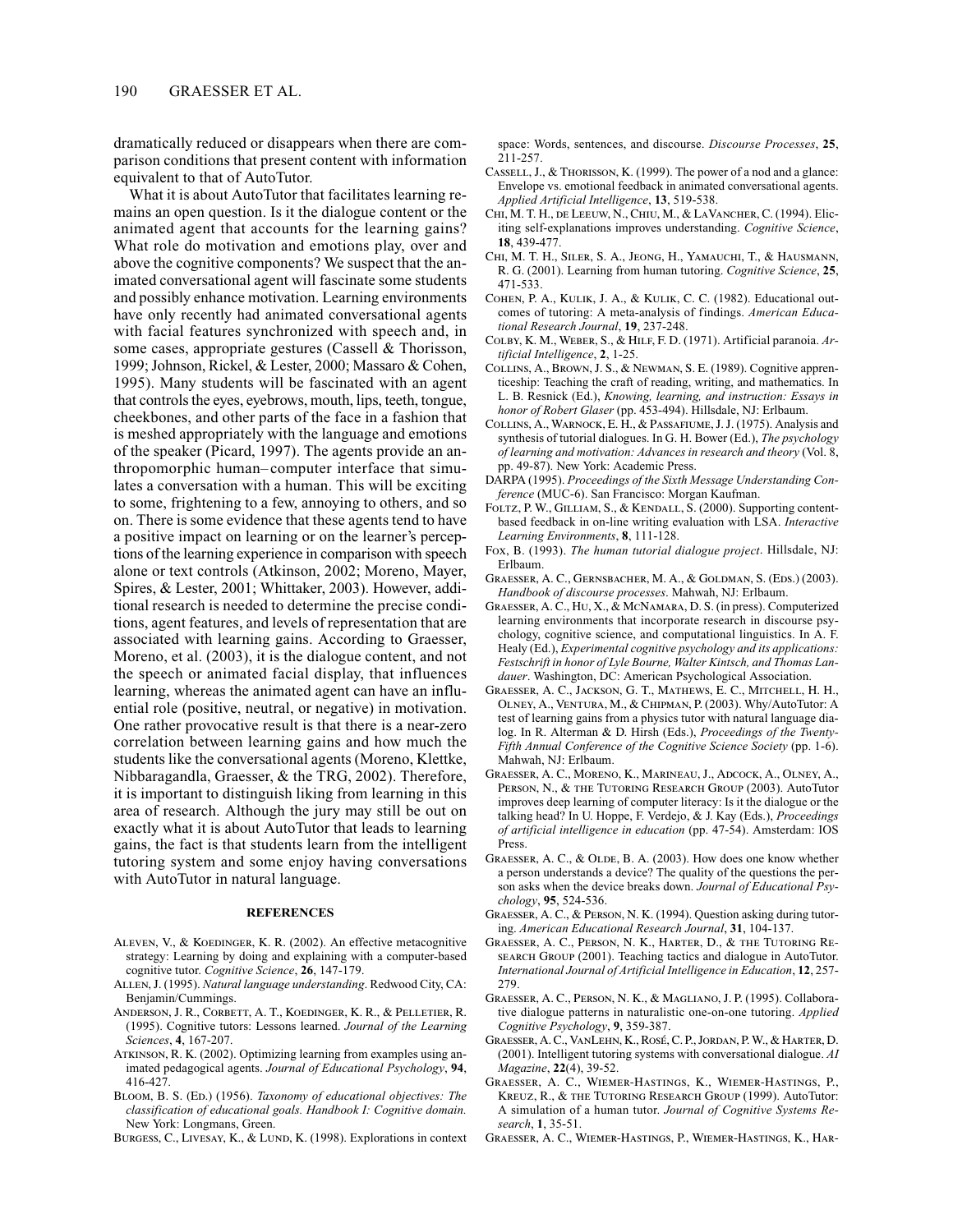dramatically reduced or disappears when there are comparison conditions that present content with information equivalent to that of AutoTutor.

What it is about AutoTutor that facilitates learning remains an open question. Is it the dialogue content or the animated agent that accounts for the learning gains? What role do motivation and emotions play, over and above the cognitive components? We suspect that the animated conversational agent will fascinate some students and possibly enhance motivation. Learning environments have only recently had animated conversational agents with facial features synchronized with speech and, in some cases, appropriate gestures (Cassell & Thorisson, 1999; Johnson, Rickel, & Lester, 2000; Massaro & Cohen, 1995). Many students will be fascinated with an agent that controls the eyes, eyebrows, mouth, lips, teeth, tongue, cheekbones, and other parts of the face in a fashion that is meshed appropriately with the language and emotions of the speaker (Picard, 1997). The agents provide an anthropomorphic human–computer interface that simulates a conversation with a human. This will be exciting to some, frightening to a few, annoying to others, and so on. There is some evidence that these agents tend to have a positive impact on learning or on the learner's perceptions of the learning experience in comparison with speech alone or text controls (Atkinson, 2002; Moreno, Mayer, Spires, & Lester, 2001; Whittaker, 2003). However, additional research is needed to determine the precise conditions, agent features, and levels of representation that are associated with learning gains. According to Graesser, Moreno, et al. (2003), it is the dialogue content, and not the speech or animated facial display, that influences learning, whereas the animated agent can have an influential role (positive, neutral, or negative) in motivation. One rather provocative result is that there is a near-zero correlation between learning gains and how much the students like the conversational agents (Moreno, Klettke, Nibbaragandla, Graesser, & the TRG, 2002). Therefore, it is important to distinguish liking from learning in this area of research. Although the jury may still be out on exactly what it is about AutoTutor that leads to learning gains, the fact is that students learn from the intelligent tutoring system and some enjoy having conversations with AutoTutor in natural language.

#### **REFERENCES**

- ALEVEN, V., & KOEDINGER, K. R. (2002). An effective metacognitive strategy: Learning by doing and explaining with a computer-based cognitive tutor. *Cognitive Science*, **26**, 147-179.
- Allen, J. (1995). *Natural language understanding*. Redwood City, CA: Benjamin/Cummings.
- Anderson, J. R., Corbett, A. T., Koedinger, K. R., & Pelletier, R. (1995). Cognitive tutors: Lessons learned. *Journal of the Learning Sciences*, **4**, 167-207.
- Atkinson, R. K. (2002). Optimizing learning from examples using animated pedagogical agents. *Journal of Educational Psychology*, **94**, 416-427.
- BLOOM, B. S. (ED.) (1956). *Taxonomy of educational objectives: The classification of educational goals. Handbook I: Cognitive domain.* New York: Longmans, Green.
- Burgess, C., Livesay, K., & Lund, K. (1998). Explorations in context

space: Words, sentences, and discourse. *Discourse Processes*, **25**, 211-257.

- Cassell, J., & Thorisson, K. (1999). The power of a nod and a glance: Envelope vs. emotional feedback in animated conversational agents. *Applied Artificial Intelligence*, **13**, 519-538.
- Chi, M. T. H., de Leeuw, N., Chiu, M., & LaVancher, C. (1994). Eliciting self-explanations improves understanding. *Cognitive Science*, **18**, 439-477.
- Chi, M. T. H., Siler, S. A., Jeong, H., Yamauchi, T., & Hausmann, R. G. (2001). Learning from human tutoring. *Cognitive Science*, **25**, 471-533.
- Cohen, P. A., Kulik, J. A., & Kulik, C. C. (1982). Educational outcomes of tutoring: A meta-analysis of findings. *American Educational Research Journal*, **19**, 237-248.
- Colby, K. M., Weber, S., & Hilf, F. D. (1971). Artificial paranoia. *Artificial Intelligence*, **2**, 1-25.
- Collins, A., Brown, J. S., & Newman, S. E. (1989). Cognitive apprenticeship: Teaching the craft of reading, writing, and mathematics. In L. B. Resnick (Ed.), *Knowing, learning, and instruction: Essays in honor of Robert Glaser* (pp. 453-494). Hillsdale, NJ: Erlbaum.
- Collins, A., Warnock, E. H., & Passafiume, J. J. (1975). Analysis and synthesis of tutorial dialogues. In G. H. Bower (Ed.), *The psychology of learning and motivation: Advances in research and theory* (Vol. 8, pp. 49-87). New York: Academic Press.
- DARPA (1995). *Proceedings of the Sixth Message Understanding Conference* (MUC-6). San Francisco: Morgan Kaufman.
- FOLTZ, P. W., GILLIAM, S., & KENDALL, S. (2000). Supporting contentbased feedback in on-line writing evaluation with LSA. *Interactive Learning Environments*, **8**, 111-128.
- Fox, B. (1993). *The human tutorial dialogue project*. Hillsdale, NJ: Erlbaum.
- Graesser, A. C., Gernsbacher, M. A., & Goldman, S. (Eds.) (2003). *Handbook of discourse processes*. Mahwah, NJ: Erlbaum.
- Graesser, A. C., Hu, X., & McNamara, D. S. (in press). Computerized learning environments that incorporate research in discourse psychology, cognitive science, and computational linguistics. In A. F. Healy (Ed.), *Experimental cognitive psychology and its applications: Festschrift in honor of Lyle Bourne, Walter Kintsch, and Thomas Landauer*. Washington, DC: American Psychological Association.
- Graesser, A. C., Jackson, G. T., Mathews, E. C., Mitchell, H. H., Olney, A., Ventura, M., & Chipman, P. (2003). Why/AutoTutor: A test of learning gains from a physics tutor with natural language dialog. In R. Alterman & D. Hirsh (Eds.), *Proceedings of the Twenty-Fifth Annual Conference of the Cognitive Science Society* (pp. 1-6). Mahwah, NJ: Erlbaum.
- Graesser, A. C., Moreno, K., Marineau, J., Adcock, A., Olney, A., PERSON, N., & THE TUTORING RESEARCH GROUP (2003). AutoTutor improves deep learning of computer literacy: Is it the dialogue or the talking head? In U. Hoppe, F. Verdejo, & J. Kay (Eds.), *Proceedings of artificial intelligence in education* (pp. 47-54). Amsterdam: IOS Press.
- GRAESSER, A. C., & OLDE, B. A. (2003). How does one know whether a person understands a device? The quality of the questions the person asks when the device breaks down. *Journal of Educational Psychology*, **95**, 524-536.
- Graesser, A. C., & Person, N. K. (1994). Question asking during tutoring. *American Educational Research Journal*, **31**, 104-137.
- Graesser, A. C., Person, N. K., Harter, D., & the Tutoring Research Group (2001). Teaching tactics and dialogue in AutoTutor. *International Journal of Artificial Intelligence in Education*, **12**, 257- 279.
- Graesser, A. C., Person, N. K., & Magliano, J. P. (1995). Collaborative dialogue patterns in naturalistic one-on-one tutoring. *Applied Cognitive Psychology*, **9**, 359-387.
- Graesser, A. C., VanLehn, K., Rosé, C. P., Jordan, P. W., & Harter, D. (2001). Intelligent tutoring systems with conversational dialogue. *AI Magazine*, **22**(4), 39-52.
- Graesser, A. C., Wiemer-Hastings, K., Wiemer-Hastings, P., Kreuz, R., & the Tutoring Research Group (1999). AutoTutor: A simulation of a human tutor. *Journal of Cognitive Systems Research*, **1**, 35-51.
- Graesser, A. C., Wiemer-Hastings, P., Wiemer-Hastings, K., Har-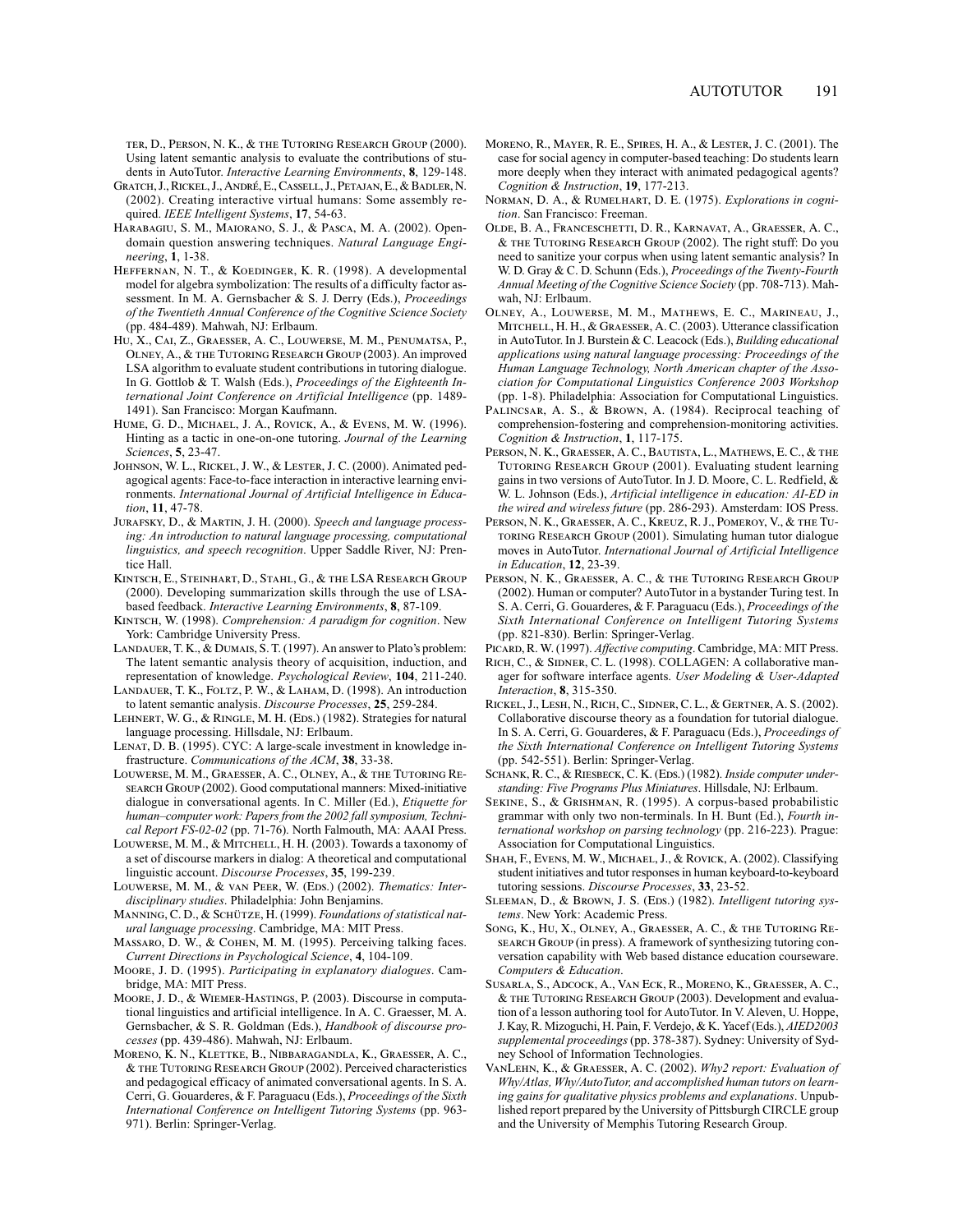ter, D., Person, N. K., & the Tutoring Research Group (2000). Using latent semantic analysis to evaluate the contributions of students in AutoTutor. *Interactive Learning Environments*, **8**, 129-148.

- Gratch, J., Rickel, J., André, E., Cassell, J., Petajan, E., & Badler, N. (2002). Creating interactive virtual humans: Some assembly required. *IEEE Intelligent Systems*, **17**, 54-63.
- Harabagiu, S. M., Maiorano, S. J., & Pasca, M. A. (2002). Opendomain question answering techniques. *Natural Language Engineering*, **1**, 1-38.
- HEFFERNAN, N. T., & KOEDINGER, K. R. (1998). A developmental model for algebra symbolization: The results of a difficulty factor assessment. In M. A. Gernsbacher & S. J. Derry (Eds.), *Proceedings of the Twentieth Annual Conference of the Cognitive Science Society* (pp. 484-489). Mahwah, NJ: Erlbaum.
- Hu, X., Cai, Z., Graesser, A. C., Louwerse, M. M., Penumatsa, P., Olney, A., & the Tutoring Research Group (2003). An improved LSA algorithm to evaluate student contributions in tutoring dialogue. In G. Gottlob & T. Walsh (Eds.), *Proceedings of the Eighteenth International Joint Conference on Artificial Intelligence* (pp. 1489- 1491). San Francisco: Morgan Kaufmann.
- Hume, G. D., Michael, J. A., Rovick, A., & Evens, M. W. (1996). Hinting as a tactic in one-on-one tutoring. *Journal of the Learning Sciences*, **5**, 23-47.
- Johnson, W. L., Rickel, J. W., & Lester, J. C. (2000). Animated pedagogical agents: Face-to-face interaction in interactive learning environments. *International Journal of Artificial Intelligence in Education*, **11**, 47-78.
- Jurafsky, D., & Martin, J. H. (2000). *Speech and language processing: An introduction to natural language processing, computational linguistics, and speech recognition*. Upper Saddle River, NJ: Prentice Hall.
- Kintsch, E., Steinhart, D., Stahl, G., & the LSA Research Group (2000). Developing summarization skills through the use of LSAbased feedback. *Interactive Learning Environments*, **8**, 87-109.
- Kintsch, W. (1998). *Comprehension: A paradigm for cognition*. New York: Cambridge University Press.
- LANDAUER, T. K., & DUMAIS, S. T. (1997). An answer to Plato's problem: The latent semantic analysis theory of acquisition, induction, and representation of knowledge. *Psychological Review*, **104**, 211-240.
- LANDAUER, T. K., FOLTZ, P. W., & LAHAM, D. (1998). An introduction to latent semantic analysis. *Discourse Processes*, **25**, 259-284.
- LEHNERT, W. G., & RINGLE, M. H. (EDS.) (1982). Strategies for natural language processing. Hillsdale, NJ: Erlbaum.
- Lenat, D. B. (1995). CYC: A large-scale investment in knowledge infrastructure. *Communications of the ACM*, **38**, 33-38.
- Louwerse, M. M., Graesser, A. C., Olney, A., & the Tutoring Research Group (2002). Good computational manners: Mixed-initiative dialogue in conversational agents. In C. Miller (Ed.), *Etiquette for human–computer work: Papers from the 2002 fall symposium, Technical Report FS-02-02* (pp. 71-76). North Falmouth, MA: AAAI Press.
- Louwerse, M. M., & Mitchell, H. H. (2003). Towards a taxonomy of a set of discourse markers in dialog: A theoretical and computational linguistic account. *Discourse Processes*, **35**, 199-239.
- LOUWERSE, M. M., & VAN PEER, W. (EDS.) (2002). *Thematics: Interdisciplinary studies*. Philadelphia: John Benjamins.
- Manning, C. D., & Schütze, H. (1999). *Foundations of statistical natural language processing*. Cambridge, MA: MIT Press.
- Massaro, D. W., & Cohen, M. M. (1995). Perceiving talking faces. *Current Directions in Psychological Science*, **4**, 104-109.
- Moore, J. D. (1995). *Participating in explanatory dialogues*. Cambridge, MA: MIT Press.
- Moore, J. D., & Wiemer-Hastings, P. (2003). Discourse in computational linguistics and artificial intelligence. In A. C. Graesser, M. A. Gernsbacher, & S. R. Goldman (Eds.), *Handbook of discourse processes* (pp. 439-486). Mahwah, NJ: Erlbaum.
- Moreno, K. N., Klettke, B., Nibbaragandla, K., Graesser, A. C., & the Tutoring Research Group (2002). Perceived characteristics and pedagogical efficacy of animated conversational agents. In S. A. Cerri, G. Gouarderes, & F. Paraguacu (Eds.), *Proceedings of the Sixth International Conference on Intelligent Tutoring Systems* (pp. 963- 971). Berlin: Springer-Verlag.
- Moreno, R., Mayer, R. E., Spires, H. A., & Lester, J. C. (2001). The case for social agency in computer-based teaching: Do students learn more deeply when they interact with animated pedagogical agents? *Cognition & Instruction*, **19**, 177-213.
- Norman, D. A., & Rumelhart, D. E. (1975). *Explorations in cognition*. San Francisco: Freeman.
- Olde, B. A., Franceschetti, D. R., Karnavat, A., Graesser, A. C., & the Tutoring Research Group (2002). The right stuff: Do you need to sanitize your corpus when using latent semantic analysis? In W. D. Gray & C. D. Schunn (Eds.), *Proceedings of the Twenty-Fourth Annual Meeting of the Cognitive Science Society* (pp. 708-713). Mahwah, NJ: Erlbaum.
- Olney, A., Louwerse, M. M., Mathews, E. C., Marineau, J., Mitchell, H. H., & Graesser, A. C. (2003). Utterance classification in AutoTutor. In J. Burstein & C. Leacock (Eds.), *Building educational applications using natural language processing: Proceedings of the Human Language Technology, North American chapter of the Association for Computational Linguistics Conference 2003 Workshop* (pp. 1-8). Philadelphia: Association for Computational Linguistics.
- Palincsar, A. S., & Brown, A. (1984). Reciprocal teaching of comprehension-fostering and comprehension-monitoring activities. *Cognition & Instruction*, **1**, 117-175.
- PERSON, N. K., GRAESSER, A. C., BAUTISTA, L., MATHEWS, E. C., & THE TUTORING RESEARCH GROUP (2001). Evaluating student learning gains in two versions of AutoTutor. In J. D. Moore, C. L. Redfield, & W. L. Johnson (Eds.), *Artificial intelligence in education: AI-ED in the wired and wireless future* (pp. 286-293). Amsterdam: IOS Press.
- Person, N. K., Graesser, A. C., Kreuz, R. J., Pomeroy, V., & the Tu-TORING RESEARCH GROUP (2001). Simulating human tutor dialogue moves in AutoTutor. *International Journal of Artificial Intelligence in Education*, **12**, 23-39.
- Person, N. K., Graesser, A. C., & the Tutoring Research Group (2002). Human or computer? AutoTutor in a bystander Turing test. In S. A. Cerri, G. Gouarderes, & F. Paraguacu (Eds.), *Proceedings of the Sixth International Conference on Intelligent Tutoring Systems* (pp. 821-830). Berlin: Springer-Verlag.
- PICARD, R. W. (1997). *Affective computing*. Cambridge, MA: MIT Press.
- RICH, C., & SIDNER, C. L. (1998). COLLAGEN: A collaborative manager for software interface agents. *User Modeling & User-Adapted Interaction*, **8**, 315-350.
- Rickel, J., Lesh, N., Rich, C., Sidner, C. L., & Gertner, A. S. (2002). Collaborative discourse theory as a foundation for tutorial dialogue. In S. A. Cerri, G. Gouarderes, & F. Paraguacu (Eds.), *Proceedings of the Sixth International Conference on Intelligent Tutoring Systems* (pp. 542-551). Berlin: Springer-Verlag.
- SCHANK, R. C., & RIESBECK, C. K. (EDS.) (1982). *Inside computer understanding: Five Programs Plus Miniatures*. Hillsdale, NJ: Erlbaum.
- Sekine, S., & Grishman, R. (1995). A corpus-based probabilistic grammar with only two non-terminals. In H. Bunt (Ed.), *Fourth international workshop on parsing technology* (pp. 216-223). Prague: Association for Computational Linguistics.
- Shah, F., Evens, M. W., Michael, J., & Rovick, A. (2002). Classifying student initiatives and tutor responses in human keyboard-to-keyboard tutoring sessions. *Discourse Processes*, **33**, 23-52.
- SLEEMAN, D., & BROWN, J. S. (EDS.) (1982). *Intelligent tutoring systems*. New York: Academic Press.
- Song, K., Hu, X., Olney, A., Graesser, A. C., & the Tutoring Research Group (in press). A framework of synthesizing tutoring conversation capability with Web based distance education courseware. *Computers & Education*.
- Susarla, S., Adcock, A., Van Eck, R., Moreno, K., Graesser, A. C., & the Tutoring Research Group (2003). Development and evaluation of a lesson authoring tool for AutoTutor. In V. Aleven, U. Hoppe, J. Kay, R. Mizoguchi, H. Pain, F. Verdejo, & K. Yacef (Eds.), *AIED2003 supplemental proceedings* (pp. 378-387). Sydney: University of Sydney School of Information Technologies.
- VanLehn, K., & Graesser, A. C. (2002). *Why2 report: Evaluation of Why/Atlas, Why/AutoTutor, and accomplished human tutors on learning gains for qualitative physics problems and explanations*. Unpublished report prepared by the University of Pittsburgh CIRCLE group and the University of Memphis Tutoring Research Group.